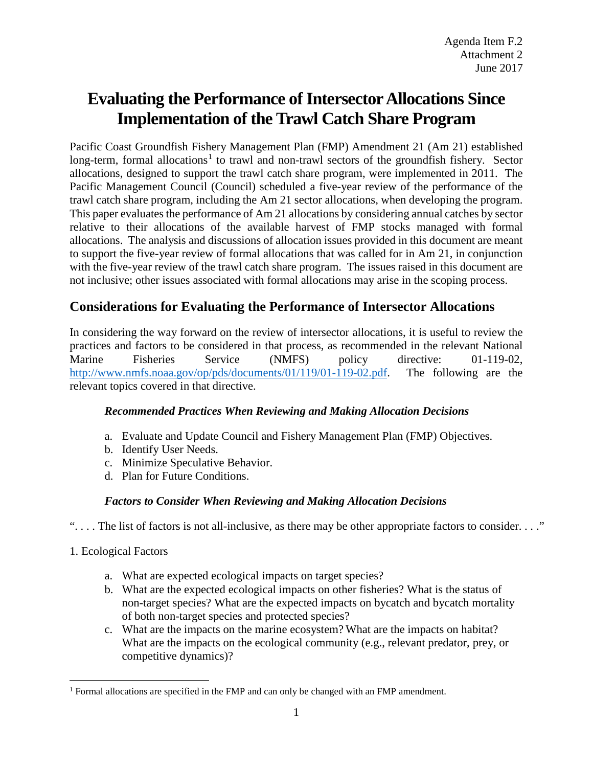# **Evaluating the Performance of IntersectorAllocations Since Implementation of the Trawl Catch Share Program**

Pacific Coast Groundfish Fishery Management Plan (FMP) Amendment 21 (Am 21) established long-term, formal allocations<sup>[1](#page-0-0)</sup> to trawl and non-trawl sectors of the groundfish fishery. Sector allocations, designed to support the trawl catch share program, were implemented in 2011. The Pacific Management Council (Council) scheduled a five-year review of the performance of the trawl catch share program, including the Am 21 sector allocations, when developing the program. This paper evaluates the performance of Am 21 allocations by considering annual catches by sector relative to their allocations of the available harvest of FMP stocks managed with formal allocations. The analysis and discussions of allocation issues provided in this document are meant to support the five-year review of formal allocations that was called for in Am 21, in conjunction with the five-year review of the trawl catch share program. The issues raised in this document are not inclusive; other issues associated with formal allocations may arise in the scoping process.

# **Considerations for Evaluating the Performance of Intersector Allocations**

In considering the way forward on the review of intersector allocations, it is useful to review the practices and factors to be considered in that process, as recommended in the relevant National Marine Fisheries Service (NMFS) policy directive: 01-119-02, [http://www.nmfs.noaa.gov/op/pds/documents/01/119/01-119-02.pdf.](http://www.nmfs.noaa.gov/op/pds/documents/01/119/01-119-02.pdf) The following are the relevant topics covered in that directive.

### *Recommended Practices When Reviewing and Making Allocation Decisions*

- a. Evaluate and Update Council and Fishery Management Plan (FMP) Objectives.
- b. Identify User Needs.
- c. Minimize Speculative Behavior.
- d. Plan for Future Conditions.

# *Factors to Consider When Reviewing and Making Allocation Decisions*

". . . . The list of factors is not all-inclusive, as there may be other appropriate factors to consider. . . ."

- 1. Ecological Factors
	- a. What are expected ecological impacts on target species?
	- b. What are the expected ecological impacts on other fisheries? What is the status of non-target species? What are the expected impacts on bycatch and bycatch mortality of both non-target species and protected species?
	- c. What are the impacts on the marine ecosystem? What are the impacts on habitat? What are the impacts on the ecological community (e.g., relevant predator, prey, or competitive dynamics)?

<span id="page-0-0"></span> <sup>1</sup> Formal allocations are specified in the FMP and can only be changed with an FMP amendment.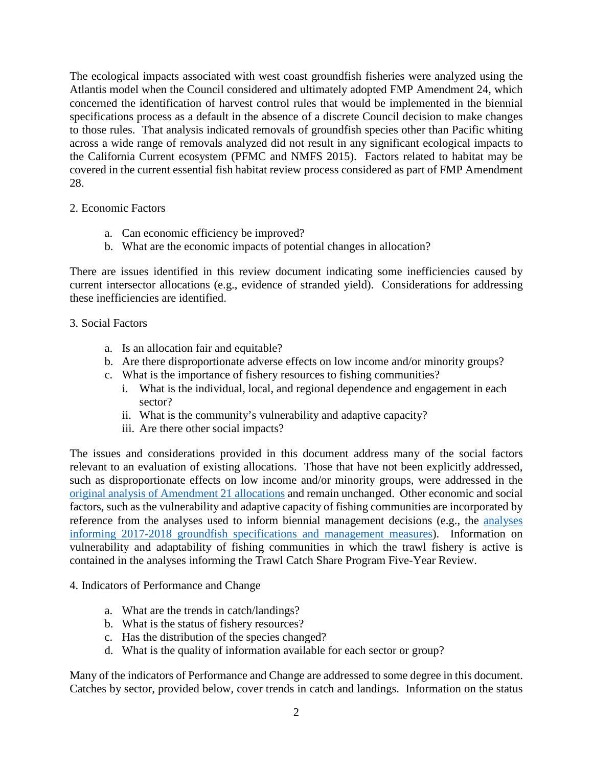The ecological impacts associated with west coast groundfish fisheries were analyzed using the Atlantis model when the Council considered and ultimately adopted FMP Amendment 24, which concerned the identification of harvest control rules that would be implemented in the biennial specifications process as a default in the absence of a discrete Council decision to make changes to those rules. That analysis indicated removals of groundfish species other than Pacific whiting across a wide range of removals analyzed did not result in any significant ecological impacts to the California Current ecosystem [\(PFMC and NMFS 2015\)](#page-32-0). Factors related to habitat may be covered in the current essential fish habitat review process considered as part of FMP Amendment 28.

#### 2. Economic Factors

- a. Can economic efficiency be improved?
- b. What are the economic impacts of potential changes in allocation?

There are issues identified in this review document indicating some inefficiencies caused by current intersector allocations (e.g., evidence of stranded yield). Considerations for addressing these inefficiencies are identified.

#### 3. Social Factors

- a. Is an allocation fair and equitable?
- b. Are there disproportionate adverse effects on low income and/or minority groups?
- c. What is the importance of fishery resources to fishing communities?
	- i. What is the individual, local, and regional dependence and engagement in each sector?
	- ii. What is the community's vulnerability and adaptive capacity?
	- iii. Are there other social impacts?

The issues and considerations provided in this document address many of the social factors relevant to an evaluation of existing allocations. Those that have not been explicitly addressed, such as disproportionate effects on low income and/or minority groups, were addressed in the [original analysis of Amendment 21 allocations](http://www.pcouncil.org/wp-content/uploads/ISA_FEIS_June_2010_Final.pdf) and remain unchanged. Other economic and social factors, such as the vulnerability and adaptive capacity of fishing communities are incorporated by reference from the analyses used to inform biennial management decisions (e.g., the [analyses](http://www.pcouncil.org/groundfish/fishery-management-plan/fmp-amendment-27/)  [informing 2017-2018 groundfish specifications and management measures\)](http://www.pcouncil.org/groundfish/fishery-management-plan/fmp-amendment-27/). Information on vulnerability and adaptability of fishing communities in which the trawl fishery is active is contained in the analyses informing the Trawl Catch Share Program Five-Year Review.

- 4. Indicators of Performance and Change
	- a. What are the trends in catch/landings?
	- b. What is the status of fishery resources?
	- c. Has the distribution of the species changed?
	- d. What is the quality of information available for each sector or group?

Many of the indicators of Performance and Change are addressed to some degree in this document. Catches by sector, provided below, cover trends in catch and landings. Information on the status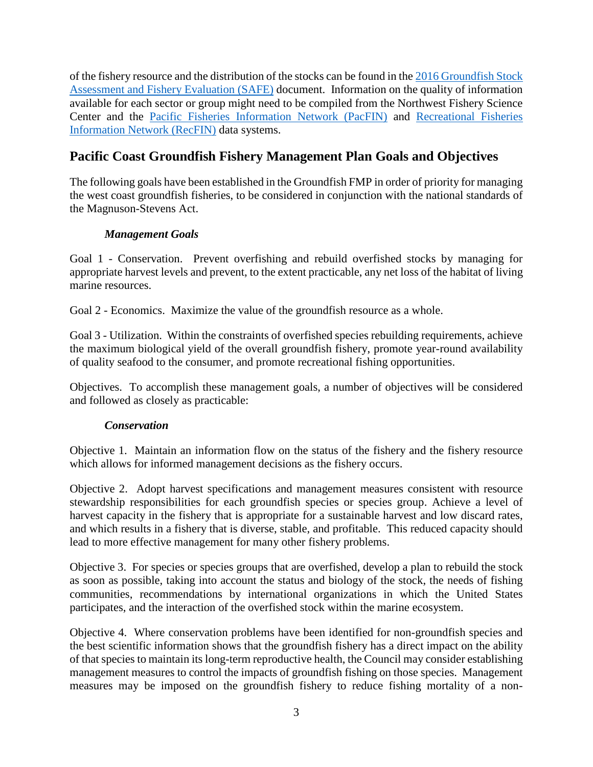of the fishery resource and the distribution of the stocks can be found in the [2016 Groundfish Stock](http://www.pcouncil.org/wp-content/uploads/2017/02/SAFE_Dec2016_02_28_2017.pdf)  [Assessment and Fishery Evaluation \(SAFE\)](http://www.pcouncil.org/wp-content/uploads/2017/02/SAFE_Dec2016_02_28_2017.pdf) document. Information on the quality of information available for each sector or group might need to be compiled from the Northwest Fishery Science Center and the [Pacific Fisheries Information Network \(PacFIN\)](http://pacfin.psmfc.org/) and [Recreational Fisheries](http://www.recfin.org/)  [Information Network \(RecFIN\)](http://www.recfin.org/) data systems.

# **Pacific Coast Groundfish Fishery Management Plan Goals and Objectives**

The following goals have been established in the Groundfish FMP in order of priority for managing the west coast groundfish fisheries, to be considered in conjunction with the national standards of the Magnuson-Stevens Act.

# *Management Goals*

Goal 1 - Conservation. Prevent overfishing and rebuild overfished stocks by managing for appropriate harvest levels and prevent, to the extent practicable, any net loss of the habitat of living marine resources.

Goal 2 - Economics. Maximize the value of the groundfish resource as a whole.

Goal 3 - Utilization. Within the constraints of overfished species rebuilding requirements, achieve the maximum biological yield of the overall groundfish fishery, promote year-round availability of quality seafood to the consumer, and promote recreational fishing opportunities.

Objectives. To accomplish these management goals, a number of objectives will be considered and followed as closely as practicable:

# *Conservation*

Objective 1. Maintain an information flow on the status of the fishery and the fishery resource which allows for informed management decisions as the fishery occurs.

Objective 2. Adopt harvest specifications and management measures consistent with resource stewardship responsibilities for each groundfish species or species group. Achieve a level of harvest capacity in the fishery that is appropriate for a sustainable harvest and low discard rates, and which results in a fishery that is diverse, stable, and profitable. This reduced capacity should lead to more effective management for many other fishery problems.

Objective 3. For species or species groups that are overfished, develop a plan to rebuild the stock as soon as possible, taking into account the status and biology of the stock, the needs of fishing communities, recommendations by international organizations in which the United States participates, and the interaction of the overfished stock within the marine ecosystem.

Objective 4. Where conservation problems have been identified for non-groundfish species and the best scientific information shows that the groundfish fishery has a direct impact on the ability of that species to maintain its long-term reproductive health, the Council may consider establishing management measures to control the impacts of groundfish fishing on those species. Management measures may be imposed on the groundfish fishery to reduce fishing mortality of a non-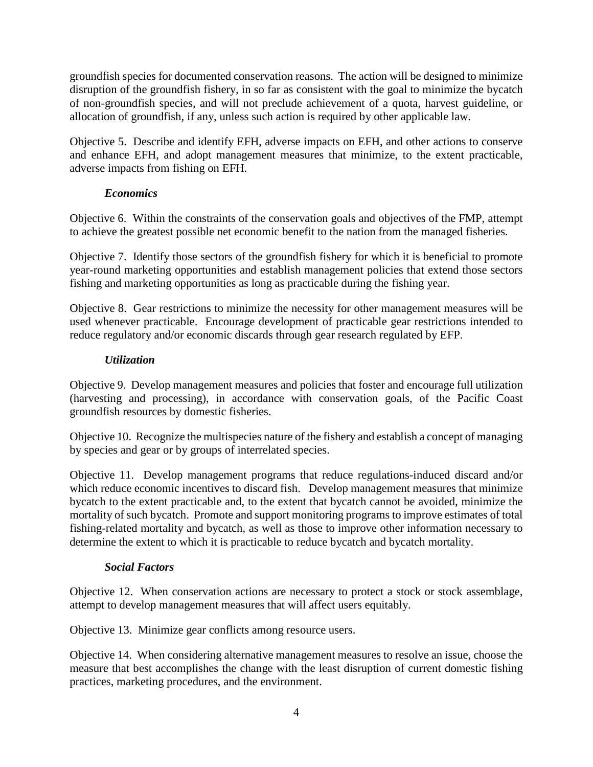groundfish species for documented conservation reasons. The action will be designed to minimize disruption of the groundfish fishery, in so far as consistent with the goal to minimize the bycatch of non-groundfish species, and will not preclude achievement of a quota, harvest guideline, or allocation of groundfish, if any, unless such action is required by other applicable law.

Objective 5. Describe and identify EFH, adverse impacts on EFH, and other actions to conserve and enhance EFH, and adopt management measures that minimize, to the extent practicable, adverse impacts from fishing on EFH.

### *Economics*

Objective 6. Within the constraints of the conservation goals and objectives of the FMP, attempt to achieve the greatest possible net economic benefit to the nation from the managed fisheries.

Objective 7. Identify those sectors of the groundfish fishery for which it is beneficial to promote year-round marketing opportunities and establish management policies that extend those sectors fishing and marketing opportunities as long as practicable during the fishing year.

Objective 8. Gear restrictions to minimize the necessity for other management measures will be used whenever practicable. Encourage development of practicable gear restrictions intended to reduce regulatory and/or economic discards through gear research regulated by EFP.

#### *Utilization*

Objective 9. Develop management measures and policies that foster and encourage full utilization (harvesting and processing), in accordance with conservation goals, of the Pacific Coast groundfish resources by domestic fisheries.

Objective 10. Recognize the multispecies nature of the fishery and establish a concept of managing by species and gear or by groups of interrelated species.

Objective 11. Develop management programs that reduce regulations-induced discard and/or which reduce economic incentives to discard fish. Develop management measures that minimize bycatch to the extent practicable and, to the extent that bycatch cannot be avoided, minimize the mortality of such bycatch. Promote and support monitoring programs to improve estimates of total fishing-related mortality and bycatch, as well as those to improve other information necessary to determine the extent to which it is practicable to reduce bycatch and bycatch mortality.

### *Social Factors*

Objective 12. When conservation actions are necessary to protect a stock or stock assemblage, attempt to develop management measures that will affect users equitably.

Objective 13. Minimize gear conflicts among resource users.

Objective 14. When considering alternative management measures to resolve an issue, choose the measure that best accomplishes the change with the least disruption of current domestic fishing practices, marketing procedures, and the environment.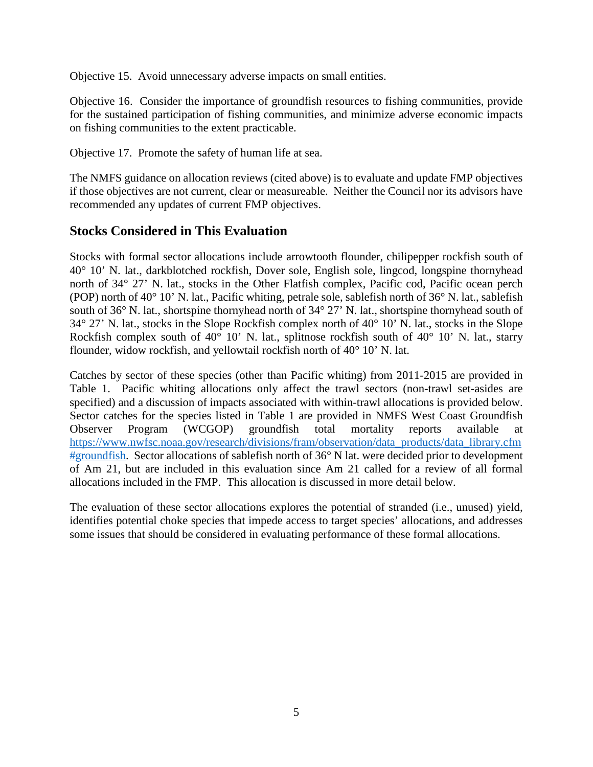Objective 15. Avoid unnecessary adverse impacts on small entities.

Objective 16. Consider the importance of groundfish resources to fishing communities, provide for the sustained participation of fishing communities, and minimize adverse economic impacts on fishing communities to the extent practicable.

Objective 17. Promote the safety of human life at sea.

The NMFS guidance on allocation reviews (cited above) is to evaluate and update FMP objectives if those objectives are not current, clear or measureable. Neither the Council nor its advisors have recommended any updates of current FMP objectives.

# **Stocks Considered in This Evaluation**

Stocks with formal sector allocations include arrowtooth flounder, chilipepper rockfish south of 40° 10' N. lat., darkblotched rockfish, Dover sole, English sole, lingcod, longspine thornyhead north of 34° 27' N. lat., stocks in the Other Flatfish complex, Pacific cod, Pacific ocean perch (POP) north of 40° 10' N. lat., Pacific whiting, petrale sole, sablefish north of 36° N. lat., sablefish south of 36° N. lat., shortspine thornyhead north of 34° 27' N. lat., shortspine thornyhead south of 34° 27' N. lat., stocks in the Slope Rockfish complex north of 40° 10' N. lat., stocks in the Slope Rockfish complex south of  $40^{\circ}$  10' N. lat., splitnose rockfish south of  $40^{\circ}$  10' N. lat., starry flounder, widow rockfish, and yellowtail rockfish north of 40° 10' N. lat.

Catches by sector of these species (other than Pacific whiting) from 2011-2015 are provided in [Table 1.](#page-9-0) Pacific whiting allocations only affect the trawl sectors (non-trawl set-asides are specified) and a discussion of impacts associated with within-trawl allocations is provided below. Sector catches for the species listed in [Table 1](#page-9-0) are provided in NMFS West Coast Groundfish Observer Program (WCGOP) groundfish total mortality reports available at [https://www.nwfsc.noaa.gov/research/divisions/fram/observation/data\\_products/data\\_library.cfm](https://www.nwfsc.noaa.gov/research/divisions/fram/observation/data_products/data_library.cfm#groundfish) [#groundfish.](https://www.nwfsc.noaa.gov/research/divisions/fram/observation/data_products/data_library.cfm#groundfish) Sector allocations of sablefish north of 36° N lat. were decided prior to development of Am 21, but are included in this evaluation since Am 21 called for a review of all formal allocations included in the FMP. This allocation is discussed in more detail below.

The evaluation of these sector allocations explores the potential of stranded (i.e., unused) yield, identifies potential choke species that impede access to target species' allocations, and addresses some issues that should be considered in evaluating performance of these formal allocations.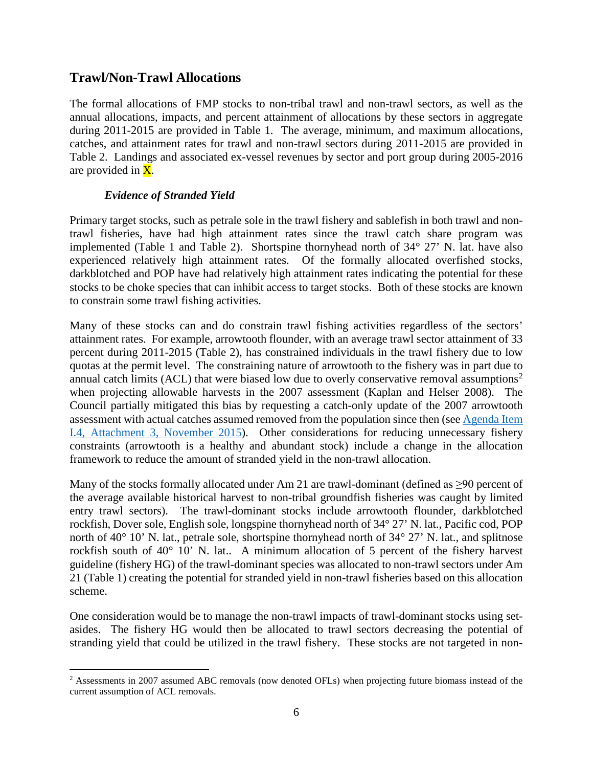### **Trawl/Non-Trawl Allocations**

The formal allocations of FMP stocks to non-tribal trawl and non-trawl sectors, as well as the annual allocations, impacts, and percent attainment of allocations by these sectors in aggregate during 2011-2015 are provided in [Table 1.](#page-9-0) The average, minimum, and maximum allocations, catches, and attainment rates for trawl and non-trawl sectors during 2011-2015 are provided in [Table 2.](#page-12-0) Landings and associated ex-vessel revenues by sector and port group during 2005-2016 are provided in  $\overline{X}$ .

#### *Evidence of Stranded Yield*

Primary target stocks, such as petrale sole in the trawl fishery and sablefish in both trawl and nontrawl fisheries, have had high attainment rates since the trawl catch share program was implemented [\(Table 1](#page-9-0) and [Table 2\)](#page-12-0). Shortspine thornyhead north of 34° 27' N. lat. have also experienced relatively high attainment rates. Of the formally allocated overfished stocks, darkblotched and POP have had relatively high attainment rates indicating the potential for these stocks to be choke species that can inhibit access to target stocks. Both of these stocks are known to constrain some trawl fishing activities.

Many of these stocks can and do constrain trawl fishing activities regardless of the sectors' attainment rates. For example, arrowtooth flounder, with an average trawl sector attainment of 33 percent during 2011-2015 [\(Table 2\)](#page-12-0), has constrained individuals in the trawl fishery due to low quotas at the permit level. The constraining nature of arrowtooth to the fishery was in part due to annual catch limits (ACL) that were biased low due to overly conservative removal assumptions<sup>[2](#page-5-0)</sup> when projecting allowable harvests in the 2007 assessment [\(Kaplan and Helser 2008\)](#page-32-1). The Council partially mitigated this bias by requesting a catch-only update of the 2007 arrowtooth assessment with actual catches assumed removed from the population since then (see [Agenda Item](http://www.pcouncil.org/wp-content/uploads/2015/10/I4_Att3_SpexProjections_Arrowtooth_Yelloweye_Blue_CASF_Nov2015BB.pdf)  [I.4, Attachment 3, November 2015\)](http://www.pcouncil.org/wp-content/uploads/2015/10/I4_Att3_SpexProjections_Arrowtooth_Yelloweye_Blue_CASF_Nov2015BB.pdf). Other considerations for reducing unnecessary fishery constraints (arrowtooth is a healthy and abundant stock) include a change in the allocation framework to reduce the amount of stranded yield in the non-trawl allocation.

Many of the stocks formally allocated under Am 21 are trawl-dominant (defined as  $\geq 90$  percent of the average available historical harvest to non-tribal groundfish fisheries was caught by limited entry trawl sectors). The trawl-dominant stocks include arrowtooth flounder, darkblotched rockfish, Dover sole, English sole, longspine thornyhead north of 34° 27' N. lat., Pacific cod, POP north of 40° 10' N. lat., petrale sole, shortspine thornyhead north of 34° 27' N. lat., and splitnose rockfish south of 40° 10' N. lat.. A minimum allocation of 5 percent of the fishery harvest guideline (fishery HG) of the trawl-dominant species was allocated to non-trawl sectors under Am 21 [\(Table 1\)](#page-9-0) creating the potential for stranded yield in non-trawl fisheries based on this allocation scheme.

One consideration would be to manage the non-trawl impacts of trawl-dominant stocks using setasides. The fishery HG would then be allocated to trawl sectors decreasing the potential of stranding yield that could be utilized in the trawl fishery. These stocks are not targeted in non-

<span id="page-5-0"></span><sup>&</sup>lt;sup>2</sup> Assessments in 2007 assumed ABC removals (now denoted OFLs) when projecting future biomass instead of the current assumption of ACL removals.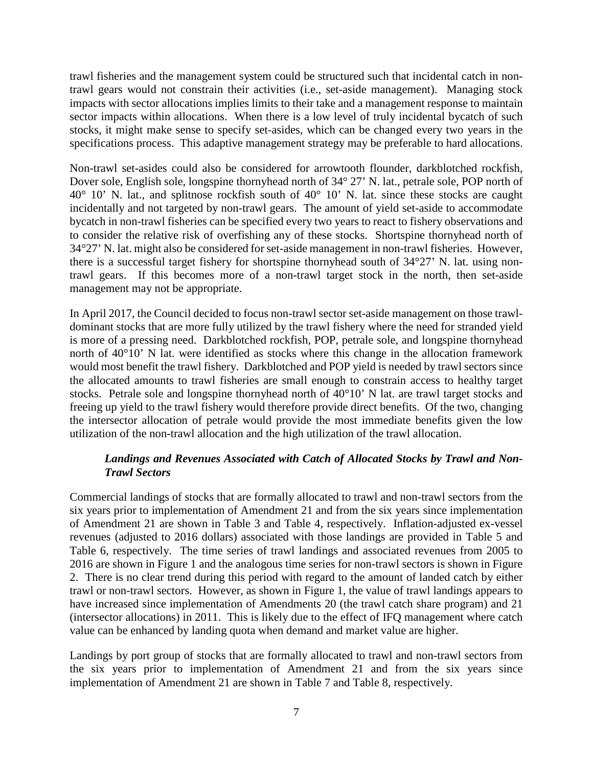trawl fisheries and the management system could be structured such that incidental catch in nontrawl gears would not constrain their activities (i.e., set-aside management). Managing stock impacts with sector allocations implies limits to their take and a management response to maintain sector impacts within allocations. When there is a low level of truly incidental bycatch of such stocks, it might make sense to specify set-asides, which can be changed every two years in the specifications process. This adaptive management strategy may be preferable to hard allocations.

Non-trawl set-asides could also be considered for arrowtooth flounder, darkblotched rockfish, Dover sole, English sole, longspine thornyhead north of 34° 27' N. lat., petrale sole, POP north of 40° 10' N. lat., and splitnose rockfish south of 40° 10' N. lat. since these stocks are caught incidentally and not targeted by non-trawl gears. The amount of yield set-aside to accommodate bycatch in non-trawl fisheries can be specified every two years to react to fishery observations and to consider the relative risk of overfishing any of these stocks. Shortspine thornyhead north of 34°27' N. lat. might also be considered for set-aside management in non-trawl fisheries. However, there is a successful target fishery for shortspine thornyhead south of 34°27' N. lat. using nontrawl gears. If this becomes more of a non-trawl target stock in the north, then set-aside management may not be appropriate.

In April 2017, the Council decided to focus non-trawl sector set-aside management on those trawldominant stocks that are more fully utilized by the trawl fishery where the need for stranded yield is more of a pressing need. Darkblotched rockfish, POP, petrale sole, and longspine thornyhead north of 40°10' N lat. were identified as stocks where this change in the allocation framework would most benefit the trawl fishery. Darkblotched and POP yield is needed by trawl sectors since the allocated amounts to trawl fisheries are small enough to constrain access to healthy target stocks. Petrale sole and longspine thornyhead north of  $40^{\circ}10'$  N lat. are trawl target stocks and freeing up yield to the trawl fishery would therefore provide direct benefits. Of the two, changing the intersector allocation of petrale would provide the most immediate benefits given the low utilization of the non-trawl allocation and the high utilization of the trawl allocation.

### *Landings and Revenues Associated with Catch of Allocated Stocks by Trawl and Non-Trawl Sectors*

Commercial landings of stocks that are formally allocated to trawl and non-trawl sectors from the six years prior to implementation of Amendment 21 and from the six years since implementation of Amendment 21 are shown in [Table 3](#page-13-0) and [Table 4,](#page-14-0) respectively. Inflation-adjusted ex-vessel revenues (adjusted to 2016 dollars) associated with those landings are provided in [Table 5](#page-15-0) and [Table 6,](#page-16-0) respectively. The time series of trawl landings and associated revenues from 2005 to 2016 are shown in [Figure 1](#page-19-0) and the analogous time series for non-trawl sectors is shown i[n Figure](#page-20-0)  [2.](#page-20-0) There is no clear trend during this period with regard to the amount of landed catch by either trawl or non-trawl sectors. However, as shown in [Figure 1,](#page-19-0) the value of trawl landings appears to have increased since implementation of Amendments 20 (the trawl catch share program) and 21 (intersector allocations) in 2011. This is likely due to the effect of IFQ management where catch value can be enhanced by landing quota when demand and market value are higher.

Landings by port group of stocks that are formally allocated to trawl and non-trawl sectors from the six years prior to implementation of Amendment 21 and from the six years since implementation of Amendment 21 are shown in [Table 7](#page-17-0) and [Table 8,](#page-18-0) respectively.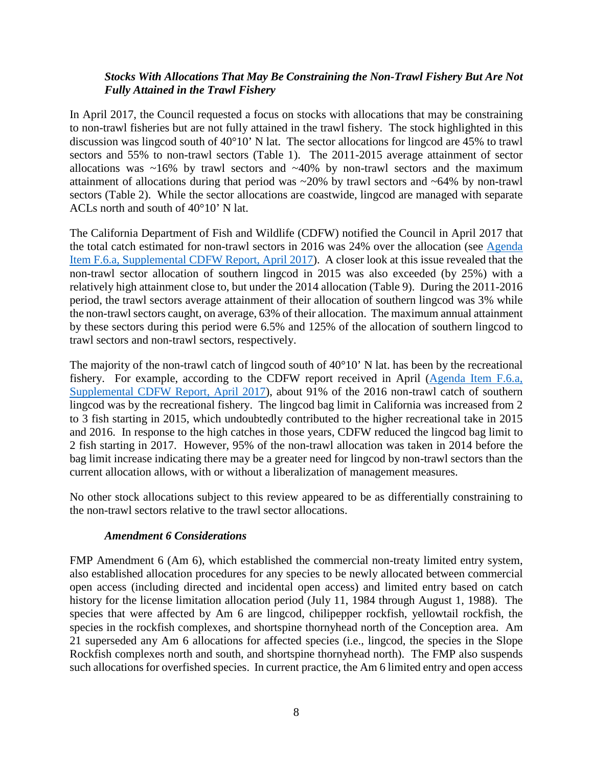#### *Stocks With Allocations That May Be Constraining the Non-Trawl Fishery But Are Not Fully Attained in the Trawl Fishery*

In April 2017, the Council requested a focus on stocks with allocations that may be constraining to non-trawl fisheries but are not fully attained in the trawl fishery. The stock highlighted in this discussion was lingcod south of 40°10' N lat. The sector allocations for lingcod are 45% to trawl sectors and 55% to non-trawl sectors [\(Table 1\)](#page-9-0). The 2011-2015 average attainment of sector allocations was  $~16\%$  by trawl sectors and  $~40\%$  by non-trawl sectors and the maximum attainment of allocations during that period was ~20% by trawl sectors and ~64% by non-trawl sectors [\(Table 2\)](#page-12-0). While the sector allocations are coastwide, lingcod are managed with separate ACLs north and south of 40°10' N lat.

The California Department of Fish and Wildlife (CDFW) notified the Council in April 2017 that the total catch estimated for non-trawl sectors in 2016 was 24% over the allocation (see [Agenda](http://www.pcouncil.org/wp-content/uploads/2017/04/F6a_Sup_CDFW_Rpt_Apr2017BB.pdf)  [Item F.6.a, Supplemental CDFW Report, April 2017\)](http://www.pcouncil.org/wp-content/uploads/2017/04/F6a_Sup_CDFW_Rpt_Apr2017BB.pdf). A closer look at this issue revealed that the non-trawl sector allocation of southern lingcod in 2015 was also exceeded (by 25%) with a relatively high attainment close to, but under the 2014 allocation [\(Table 9\)](#page-21-0). During the 2011-2016 period, the trawl sectors average attainment of their allocation of southern lingcod was 3% while the non-trawl sectors caught, on average, 63% of their allocation. The maximum annual attainment by these sectors during this period were 6.5% and 125% of the allocation of southern lingcod to trawl sectors and non-trawl sectors, respectively.

The majority of the non-trawl catch of lingcod south of  $40^{\circ}10'$  N lat. has been by the recreational fishery. For example, according to the CDFW report received in April [\(Agenda Item F.6.a,](http://www.pcouncil.org/wp-content/uploads/2017/04/F6a_Sup_CDFW_Rpt_Apr2017BB.pdf)  [Supplemental CDFW Report, April 2017\)](http://www.pcouncil.org/wp-content/uploads/2017/04/F6a_Sup_CDFW_Rpt_Apr2017BB.pdf), about 91% of the 2016 non-trawl catch of southern lingcod was by the recreational fishery. The lingcod bag limit in California was increased from 2 to 3 fish starting in 2015, which undoubtedly contributed to the higher recreational take in 2015 and 2016. In response to the high catches in those years, CDFW reduced the lingcod bag limit to 2 fish starting in 2017. However, 95% of the non-trawl allocation was taken in 2014 before the bag limit increase indicating there may be a greater need for lingcod by non-trawl sectors than the current allocation allows, with or without a liberalization of management measures.

No other stock allocations subject to this review appeared to be as differentially constraining to the non-trawl sectors relative to the trawl sector allocations.

#### *Amendment 6 Considerations*

FMP Amendment 6 (Am 6), which established the commercial non-treaty limited entry system, also established allocation procedures for any species to be newly allocated between commercial open access (including directed and incidental open access) and limited entry based on catch history for the license limitation allocation period (July 11, 1984 through August 1, 1988). The species that were affected by Am 6 are lingcod, chilipepper rockfish, yellowtail rockfish, the species in the rockfish complexes, and shortspine thornyhead north of the Conception area. Am 21 superseded any Am 6 allocations for affected species (i.e., lingcod, the species in the Slope Rockfish complexes north and south, and shortspine thornyhead north). The FMP also suspends such allocations for overfished species. In current practice, the Am 6 limited entry and open access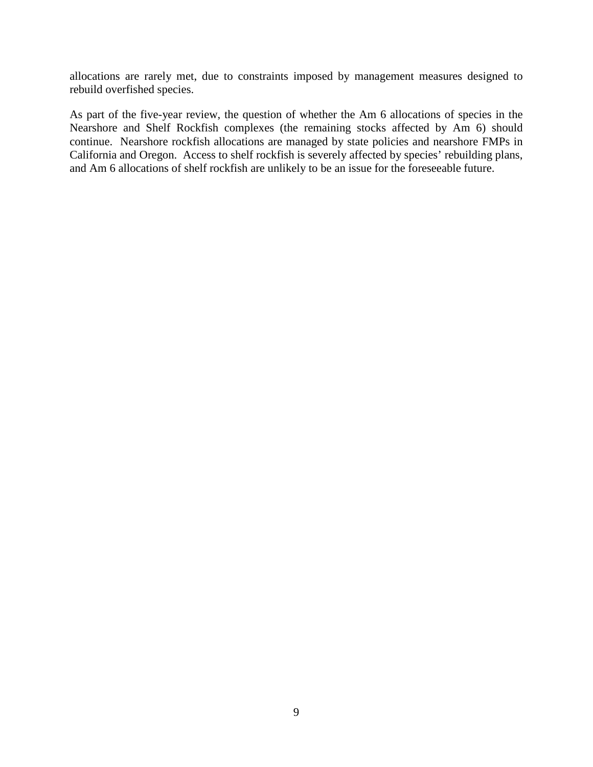allocations are rarely met, due to constraints imposed by management measures designed to rebuild overfished species.

As part of the five-year review, the question of whether the Am 6 allocations of species in the Nearshore and Shelf Rockfish complexes (the remaining stocks affected by Am 6) should continue. Nearshore rockfish allocations are managed by state policies and nearshore FMPs in California and Oregon. Access to shelf rockfish is severely affected by species' rebuilding plans, and Am 6 allocations of shelf rockfish are unlikely to be an issue for the foreseeable future.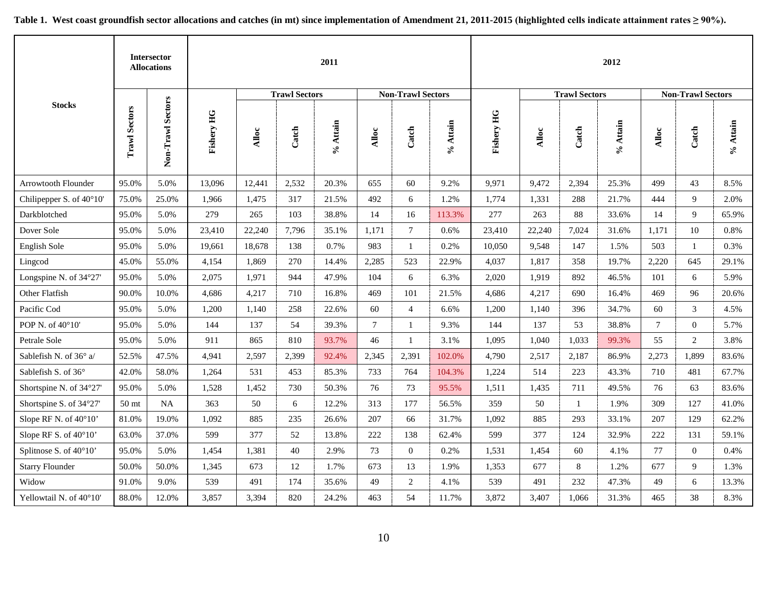<span id="page-9-0"></span>

|                          |                      | <b>Intersector</b><br><b>Allocations</b> |                   |        |                      | 2011            |        |                          |          |                   |        |                      | 2012     |                 |                          |          |
|--------------------------|----------------------|------------------------------------------|-------------------|--------|----------------------|-----------------|--------|--------------------------|----------|-------------------|--------|----------------------|----------|-----------------|--------------------------|----------|
|                          |                      |                                          |                   |        | <b>Trawl Sectors</b> |                 |        | <b>Non-Trawl Sectors</b> |          |                   |        | <b>Trawl Sectors</b> |          |                 | <b>Non-Trawl Sectors</b> |          |
| <b>Stocks</b>            | <b>Trawl Sectors</b> | <b>Sectors</b><br>Non-Trawl              | <b>Fishery HG</b> | Alloc  | Catch                | % At <b>ain</b> | Alloc  | Catch                    | % Attain | <b>Fishery HG</b> | Alloc  | Catch                | % Attain | Alloc           | Catch                    | % Attain |
| Arrowtooth Flounder      | 95.0%                | 5.0%                                     | 13,096            | 12,441 | 2,532                | 20.3%           | 655    | 60                       | 9.2%     | 9,971             | 9,472  | 2,394                | 25.3%    | 499             | 43                       | 8.5%     |
| Chilipepper S. of 40°10' | 75.0%                | 25.0%                                    | 1,966             | 1,475  | 317                  | 21.5%           | 492    | 6                        | 1.2%     | 1,774             | 1,331  | 288                  | 21.7%    | 444             | 9                        | 2.0%     |
| Darkblotched             | 95.0%                | 5.0%                                     | 279               | 265    | 103                  | 38.8%           | 14     | 16                       | 113.3%   | 277               | 263    | 88                   | 33.6%    | 14              | 9                        | 65.9%    |
| Dover Sole               | 95.0%                | 5.0%                                     | 23,410            | 22,240 | 7,796                | 35.1%           | 1,171  | $7\phantom{.0}$          | 0.6%     | 23,410            | 22,240 | 7,024                | 31.6%    | 1,171           | $10\,$                   | 0.8%     |
| English Sole             | 95.0%                | 5.0%                                     | 19,661            | 18,678 | 138                  | 0.7%            | 983    | 1                        | 0.2%     | 10,050            | 9,548  | 147                  | 1.5%     | 503             | 1                        | 0.3%     |
| Lingcod                  | 45.0%                | 55.0%                                    | 4,154             | 1,869  | 270                  | 14.4%           | 2,285  | 523                      | 22.9%    | 4,037             | 1,817  | 358                  | 19.7%    | 2,220           | 645                      | 29.1%    |
| Longspine N. of 34°27'   | 95.0%                | 5.0%                                     | 2,075             | 1,971  | 944                  | 47.9%           | 104    | 6                        | 6.3%     | 2,020             | 1,919  | 892                  | 46.5%    | 101             | 6                        | 5.9%     |
| Other Flatfish           | 90.0%                | 10.0%                                    | 4,686             | 4,217  | 710                  | 16.8%           | 469    | 101                      | 21.5%    | 4,686             | 4,217  | 690                  | 16.4%    | 469             | 96                       | 20.6%    |
| Pacific Cod              | 95.0%                | 5.0%                                     | 1,200             | 1,140  | 258                  | 22.6%           | 60     | $\overline{4}$           | 6.6%     | 1,200             | 1,140  | 396                  | 34.7%    | 60              | 3                        | 4.5%     |
| POP N. of 40°10'         | 95.0%                | 5.0%                                     | 144               | 137    | 54                   | 39.3%           | $\tau$ | 1                        | 9.3%     | 144               | 137    | 53                   | 38.8%    | $7\overline{ }$ | $\overline{0}$           | 5.7%     |
| Petrale Sole             | 95.0%                | 5.0%                                     | 911               | 865    | 810                  | 93.7%           | 46     | 1                        | 3.1%     | 1,095             | 1,040  | 1,033                | 99.3%    | 55              | $\overline{2}$           | 3.8%     |
| Sablefish N. of 36° a/   | 52.5%                | 47.5%                                    | 4,941             | 2,597  | 2,399                | 92.4%           | 2,345  | 2,391                    | 102.0%   | 4,790             | 2,517  | 2,187                | 86.9%    | 2,273           | 1,899                    | 83.6%    |
| Sablefish S. of 36°      | 42.0%                | 58.0%                                    | 1,264             | 531    | 453                  | 85.3%           | 733    | 764                      | 104.3%   | 1,224             | 514    | 223                  | 43.3%    | 710             | 481                      | 67.7%    |
| Shortspine N. of 34°27'  | 95.0%                | 5.0%                                     | 1,528             | 1,452  | 730                  | 50.3%           | 76     | 73                       | 95.5%    | 1,511             | 1,435  | 711                  | 49.5%    | 76              | 63                       | 83.6%    |
| Shortspine S. of 34°27'  | $50\:\rm{mt}$        | NA                                       | 363               | 50     | 6                    | 12.2%           | 313    | 177                      | 56.5%    | 359               | 50     | 1                    | 1.9%     | 309             | 127                      | 41.0%    |
| Slope RF N. of 40°10'    | 81.0%                | 19.0%                                    | 1,092             | 885    | 235                  | 26.6%           | 207    | 66                       | 31.7%    | 1,092             | 885    | 293                  | 33.1%    | 207             | 129                      | 62.2%    |
| Slope RF S. of 40°10'    | 63.0%                | 37.0%                                    | 599               | 377    | 52                   | 13.8%           | 222    | 138                      | 62.4%    | 599               | 377    | 124                  | 32.9%    | 222             | 131                      | 59.1%    |
| Splitnose S. of 40°10'   | 95.0%                | 5.0%                                     | 1,454             | 1,381  | 40                   | 2.9%            | 73     | $\mathbf{0}$             | 0.2%     | 1,531             | 1,454  | 60                   | 4.1%     | 77              | $\overline{0}$           | 0.4%     |
| <b>Starry Flounder</b>   | 50.0%                | 50.0%                                    | 1,345             | 673    | 12                   | 1.7%            | 673    | 13                       | 1.9%     | 1,353             | 677    | 8                    | 1.2%     | 677             | 9                        | 1.3%     |
| Widow                    | 91.0%                | 9.0%                                     | 539               | 491    | 174                  | 35.6%           | 49     | $\sqrt{2}$               | 4.1%     | 539               | 491    | 232                  | 47.3%    | 49              | 6                        | 13.3%    |
| Yellowtail N. of 40°10'  | 88.0%                | 12.0%                                    | 3,857             | 3,394  | 820                  | 24.2%           | 463    | 54                       | 11.7%    | 3,872             | 3,407  | 1,066                | 31.3%    | 465             | 38                       | 8.3%     |

<span id="page-9-1"></span>**Table 1. West coast groundfish sector allocations and catches (in mt) since implementation of Amendment 21, 2011-2015 (highlighted cells indicate attainment rates ≥ 90%).**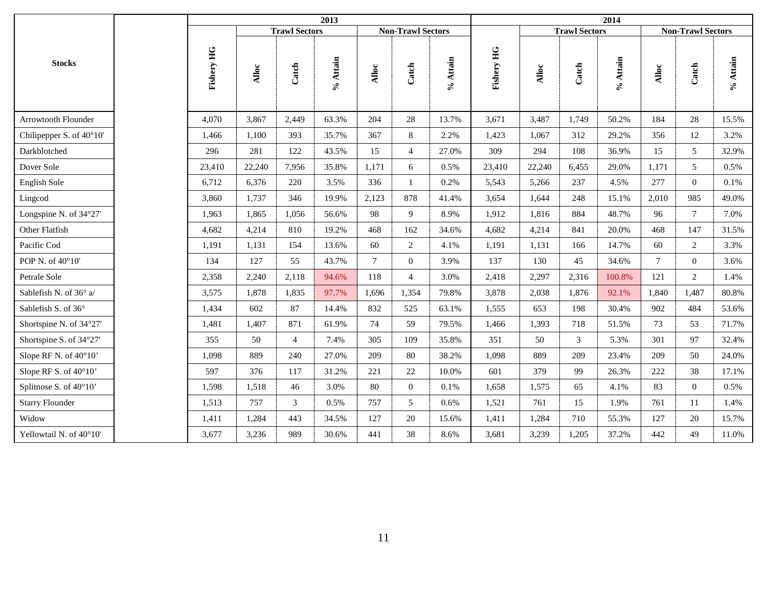|                            |            |        |                      | 2013     |                |                          |          |            |        |                      | 2014        |                 |                          |          |
|----------------------------|------------|--------|----------------------|----------|----------------|--------------------------|----------|------------|--------|----------------------|-------------|-----------------|--------------------------|----------|
|                            |            |        | <b>Trawl Sectors</b> |          |                | <b>Non-Trawl Sectors</b> |          |            |        | <b>Trawl Sectors</b> |             |                 | <b>Non-Trawl Sectors</b> |          |
| <b>Stocks</b>              | Fishery HG | Alloc  | Catch                | % Attain | Alloc          | Catch                    | % Attain | Fishery HG | Alloc  | Catch                | $\%$ Attain | Alloc           | Catch                    | % Attain |
| <b>Arrowtooth Flounder</b> | 4.070      | 3,867  | 2,449                | 63.3%    | 204            | 28                       | 13.7%    | 3,671      | 3,487  | 1,749                | 50.2%       | 184             | 28                       | 15.5%    |
| Chilipepper S. of 40°10'   | 1,466      | 1,100  | 393                  | 35.7%    | 367            | 8                        | 2.2%     | 1,423      | 1,067  | 312                  | 29.2%       | 356             | 12                       | 3.2%     |
| Darkblotched               | 296        | 281    | 122                  | 43.5%    | 15             | $\overline{4}$           | 27.0%    | 309        | 294    | 108                  | 36.9%       | 15              | 5 <sup>5</sup>           | 32.9%    |
| Dover Sole                 | 23,410     | 22,240 | 7,956                | 35.8%    | 1,171          | 6                        | 0.5%     | 23,410     | 22,240 | 6,455                | 29.0%       | 1,171           | 5                        | 0.5%     |
| English Sole               | 6,712      | 6,376  | 220                  | 3.5%     | 336            | $\mathbf{1}$             | 0.2%     | 5,543      | 5,266  | 237                  | 4.5%        | 277             | $\Omega$                 | 0.1%     |
| Lingcod                    | 3,860      | 1,737  | 346                  | 19.9%    | 2,123          | 878                      | 41.4%    | 3,654      | 1,644  | 248                  | 15.1%       | 2,010           | 985                      | 49.0%    |
| Longspine N. of 34°27'     | 1,963      | 1,865  | 1,056                | 56.6%    | 98             | 9                        | 8.9%     | 1,912      | 1,816  | 884                  | 48.7%       | 96              | $\tau$                   | 7.0%     |
| Other Flatfish             | 4,682      | 4,214  | 810                  | 19.2%    | 468            | 162                      | 34.6%    | 4,682      | 4,214  | 841                  | 20.0%       | 468             | 147                      | 31.5%    |
| Pacific Cod                | 1,191      | 1,131  | 154                  | 13.6%    | 60             | $\overline{c}$           | 4.1%     | 1,191      | 1,131  | 166                  | 14.7%       | 60              | $\overline{2}$           | 3.3%     |
| POP N. of 40°10'           | 134        | 127    | 55                   | 43.7%    | $\overline{7}$ | $\overline{0}$           | 3.9%     | 137        | 130    | 45                   | 34.6%       | $7\phantom{.0}$ | $\overline{0}$           | 3.6%     |
| Petrale Sole               | 2,358      | 2,240  | 2,118                | 94.6%    | 118            | $\overline{4}$           | 3.0%     | 2,418      | 2,297  | 2,316                | 100.8%      | 121             | $\overline{2}$           | 1.4%     |
| Sablefish N. of 36° a/     | 3,575      | 1,878  | 1,835                | 97.7%    | 1,696          | 1,354                    | 79.8%    | 3,878      | 2,038  | 1,876                | 92.1%       | 1,840           | 1,487                    | 80.8%    |
| Sablefish S. of 36°        | 1,434      | 602    | 87                   | 14.4%    | 832            | 525                      | 63.1%    | 1,555      | 653    | 198                  | 30.4%       | 902             | 484                      | 53.6%    |
| Shortspine N. of 34°27'    | 1,481      | 1,407  | 871                  | 61.9%    | 74             | 59                       | 79.5%    | 1,466      | 1,393  | 718                  | 51.5%       | 73              | 53                       | 71.7%    |
| Shortspine S. of 34°27'    | 355        | 50     | $\overline{4}$       | 7.4%     | 305            | 109                      | 35.8%    | 351        | 50     | 3                    | 5.3%        | 301             | 97                       | 32.4%    |
| Slope RF N. of 40°10'      | 1,098      | 889    | 240                  | 27.0%    | 209            | 80                       | 38.2%    | 1,098      | 889    | 209                  | 23.4%       | 209             | 50                       | 24.0%    |
| Slope RF S. of 40°10'      | 597        | 376    | 117                  | 31.2%    | 221            | 22                       | 10.0%    | 601        | 379    | 99                   | 26.3%       | 222             | 38                       | 17.1%    |
| Splitnose S. of 40°10'     | 1,598      | 1,518  | 46                   | 3.0%     | 80             | $\overline{0}$           | 0.1%     | 1,658      | 1,575  | 65                   | 4.1%        | 83              | $\Omega$                 | 0.5%     |
| <b>Starry Flounder</b>     | 1,513      | 757    | 3                    | 0.5%     | 757            | 5                        | 0.6%     | 1,521      | 761    | 15                   | 1.9%        | 761             | 11                       | 1.4%     |
| Widow                      | 1,411      | 1,284  | 443                  | 34.5%    | 127            | 20                       | 15.6%    | 1,411      | 1,284  | 710                  | 55.3%       | 127             | 20                       | 15.7%    |
| Yellowtail N. of 40°10'    | 3,677      | 3,236  | 989                  | 30.6%    | 441            | 38                       | 8.6%     | 3,681      | 3,239  | 1,205                | 37.2%       | 442             | 49                       | 11.0%    |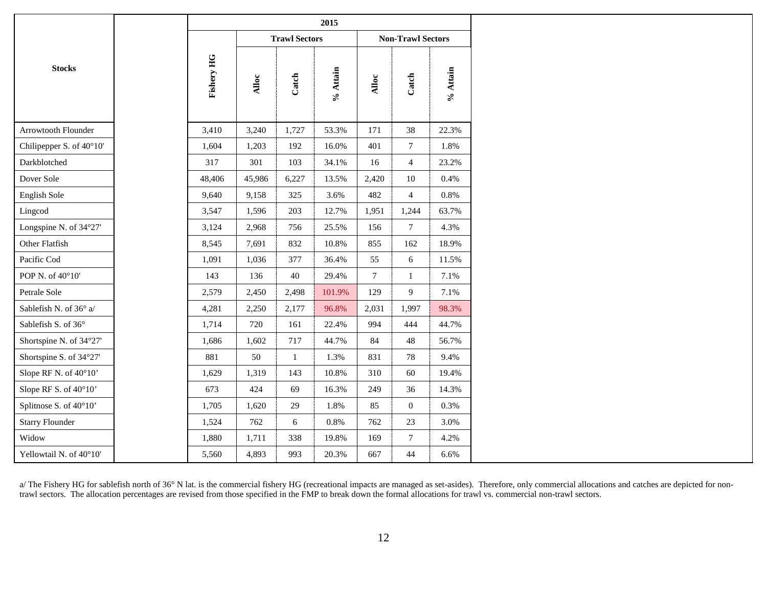|                          |            |        |                      | 2015     |                |                          |          |
|--------------------------|------------|--------|----------------------|----------|----------------|--------------------------|----------|
|                          |            |        | <b>Trawl Sectors</b> |          |                | <b>Non-Trawl Sectors</b> |          |
| <b>Stocks</b>            | Fishery HG | Alloc  | Catch                | % Attain | Alloc          | Catch                    | % Attain |
| Arrowtooth Flounder      | 3,410      | 3,240  | 1,727                | 53.3%    | 171            | 38                       | 22.3%    |
| Chilipepper S. of 40°10' | 1,604      | 1,203  | 192                  | 16.0%    | 401            | $\tau$                   | 1.8%     |
| Darkblotched             | 317        | 301    | 103                  | 34.1%    | 16             | $\overline{4}$           | 23.2%    |
| Dover Sole               | 48,406     | 45,986 | 6,227                | 13.5%    | 2,420          | $10\,$                   | 0.4%     |
| English Sole             | 9,640      | 9,158  | 325                  | 3.6%     | 482            | $\overline{4}$           | 0.8%     |
| Lingcod                  | 3,547      | 1,596  | 203                  | 12.7%    | 1,951          | 1,244                    | 63.7%    |
| Longspine N. of 34°27'   | 3,124      | 2,968  | 756                  | 25.5%    | 156            | $\tau$                   | 4.3%     |
| Other Flatfish           | 8,545      | 7,691  | 832                  | 10.8%    | 855            | 162                      | 18.9%    |
| Pacific Cod              | 1,091      | 1,036  | 377                  | 36.4%    | 55             | 6                        | 11.5%    |
| POP N. of 40°10'         | 143        | 136    | 40                   | 29.4%    | $\overline{7}$ | $\mathbf{1}$             | 7.1%     |
| Petrale Sole             | 2,579      | 2,450  | 2,498                | 101.9%   | 129            | $\overline{9}$           | 7.1%     |
| Sablefish N. of 36° a/   | 4,281      | 2,250  | 2,177                | 96.8%    | 2,031          | 1,997                    | 98.3%    |
| Sablefish S. of 36°      | 1,714      | 720    | 161                  | 22.4%    | 994            | 444                      | 44.7%    |
| Shortspine N. of 34°27'  | 1,686      | 1,602  | 717                  | 44.7%    | 84             | 48                       | 56.7%    |
| Shortspine S. of 34°27'  | 881        | 50     | $\mathbf{1}$         | 1.3%     | 831            | $78\,$                   | 9.4%     |
| Slope RF N. of 40°10'    | 1,629      | 1,319  | 143                  | 10.8%    | 310            | 60                       | 19.4%    |
| Slope RF S. of 40°10'    | 673        | 424    | 69                   | 16.3%    | 249            | 36                       | 14.3%    |
| Splitnose S. of 40°10'   | 1,705      | 1,620  | 29                   | 1.8%     | 85             | $\mathbf{0}$             | 0.3%     |
| <b>Starry Flounder</b>   | 1,524      | 762    | 6                    | 0.8%     | 762            | $23\,$                   | 3.0%     |
| Widow                    | 1,880      | 1,711  | 338                  | 19.8%    | 169            | $\tau$                   | 4.2%     |
| Yellowtail N. of 40°10'  | 5,560      | 4,893  | 993                  | 20.3%    | 667            | 44                       | 6.6%     |

a/ The Fishery HG for sablefish north of 36° N lat. is the commercial fishery HG (recreational impacts are managed as set-asides). Therefore, only commercial allocations and catches are depicted for nontrawl sectors. The allocation percentages are revised from those specified in the FMP to break down the formal allocations for trawl vs. commercial non-trawl sectors.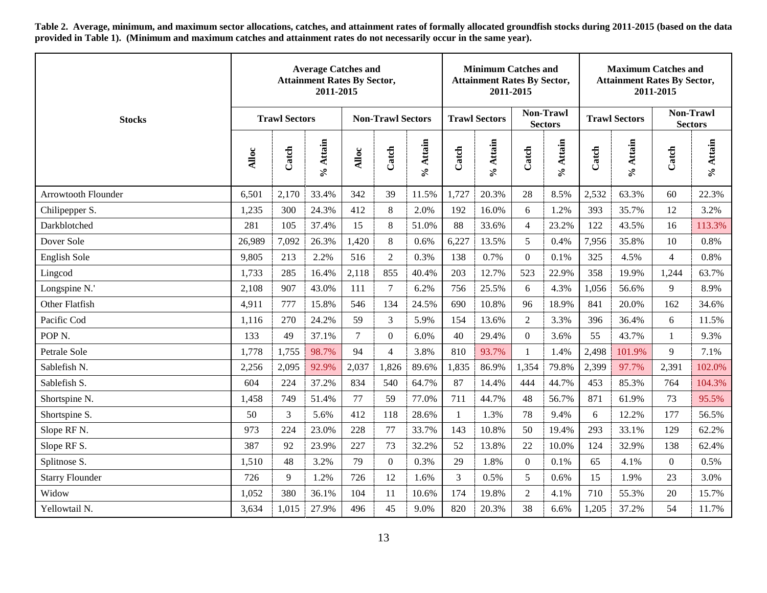**Table 2. Average, minimum, and maximum sector allocations, catches, and attainment rates of formally allocated groundfish stocks during 2011-2015 (based on the data provided i[n Table 1\)](#page-9-1). (Minimum and maximum catches and attainment rates do not necessarily occur in the same year).**

<span id="page-12-0"></span>

|                        |        |                      | <b>Average Catches and</b><br><b>Attainment Rates By Sector,</b><br>2011-2015 |                |                          |          |                | <b>Minimum Catches and</b><br><b>Attainment Rates By Sector,</b><br>2011-2015 |                 |                                    |       | <b>Maximum Catches and</b><br><b>Attainment Rates By Sector,</b> | 2011-2015      |                                    |
|------------------------|--------|----------------------|-------------------------------------------------------------------------------|----------------|--------------------------|----------|----------------|-------------------------------------------------------------------------------|-----------------|------------------------------------|-------|------------------------------------------------------------------|----------------|------------------------------------|
| <b>Stocks</b>          |        | <b>Trawl Sectors</b> |                                                                               |                | <b>Non-Trawl Sectors</b> |          |                | <b>Trawl Sectors</b>                                                          |                 | <b>Non-Trawl</b><br><b>Sectors</b> |       | <b>Trawl Sectors</b>                                             |                | <b>Non-Trawl</b><br><b>Sectors</b> |
|                        | Alloc  | Catch                | % Attain                                                                      | Alloc          | Catch                    | % Attain | Catch          | % Attain                                                                      | Catch           | % Attain                           | Catch | % Attain                                                         | Catch          | % Attain                           |
| Arrowtooth Flounder    | 6,501  | 2,170                | 33.4%                                                                         | 342            | 39                       | 11.5%    | 1,727          | 20.3%                                                                         | 28              | 8.5%                               | 2,532 | 63.3%                                                            | 60             | 22.3%                              |
| Chilipepper S.         | 1,235  | 300                  | 24.3%                                                                         | 412            | $\,8\,$                  | 2.0%     | 192            | 16.0%                                                                         | 6               | 1.2%                               | 393   | 35.7%                                                            | 12             | 3.2%                               |
| Darkblotched           | 281    | 105                  | 37.4%                                                                         | 15             | 8                        | 51.0%    | 88             | 33.6%                                                                         | $\overline{4}$  | 23.2%                              | 122   | 43.5%                                                            | 16             | 113.3%                             |
| Dover Sole             | 26,989 | 7,092                | 26.3%                                                                         | 1,420          | $\,8\,$                  | 0.6%     | 6,227          | 13.5%                                                                         | $5\overline{)}$ | 0.4%                               | 7,956 | 35.8%                                                            | 10             | 0.8%                               |
| English Sole           | 9,805  | 213                  | 2.2%                                                                          | 516            | $\sqrt{2}$               | 0.3%     | 138            | 0.7%                                                                          | $\overline{0}$  | 0.1%                               | 325   | 4.5%                                                             | $\overline{4}$ | 0.8%                               |
| Lingcod                | 1,733  | 285                  | 16.4%                                                                         | 2,118          | 855                      | 40.4%    | 203            | 12.7%                                                                         | 523             | 22.9%                              | 358   | 19.9%                                                            | 1,244          | 63.7%                              |
| Longspine N.'          | 2,108  | 907                  | 43.0%                                                                         | 111            | $\boldsymbol{7}$         | 6.2%     | 756            | 25.5%                                                                         | 6               | 4.3%                               | 1,056 | 56.6%                                                            | 9              | 8.9%                               |
| Other Flatfish         | 4,911  | 777                  | 15.8%                                                                         | 546            | 134                      | 24.5%    | 690            | 10.8%                                                                         | 96              | 18.9%                              | 841   | 20.0%                                                            | 162            | 34.6%                              |
| Pacific Cod            | 1,116  | 270                  | 24.2%                                                                         | 59             | 3                        | 5.9%     | 154            | 13.6%                                                                         | $\overline{2}$  | 3.3%                               | 396   | 36.4%                                                            | 6              | 11.5%                              |
| POP <sub>N</sub> .     | 133    | 49                   | 37.1%                                                                         | $\overline{7}$ | $\overline{0}$           | 6.0%     | 40             | 29.4%                                                                         | $\overline{0}$  | 3.6%                               | 55    | 43.7%                                                            | $\mathbf{1}$   | 9.3%                               |
| Petrale Sole           | 1,778  | 1,755                | 98.7%                                                                         | 94             | $\overline{4}$           | 3.8%     | 810            | 93.7%                                                                         |                 | 1.4%                               | 2,498 | 101.9%                                                           | 9              | 7.1%                               |
| Sablefish N.           | 2,256  | 2,095                | 92.9%                                                                         | 2,037          | 1,826                    | 89.6%    | 1,835          | 86.9%                                                                         | 1,354           | 79.8%                              | 2,399 | 97.7%                                                            | 2,391          | 102.0%                             |
| Sablefish S.           | 604    | 224                  | 37.2%                                                                         | 834            | 540                      | 64.7%    | 87             | 14.4%                                                                         | 444             | 44.7%                              | 453   | 85.3%                                                            | 764            | 104.3%                             |
| Shortspine N.          | 1,458  | 749                  | 51.4%                                                                         | 77             | 59                       | 77.0%    | 711            | 44.7%                                                                         | 48              | 56.7%                              | 871   | 61.9%                                                            | 73             | 95.5%                              |
| Shortspine S.          | 50     | 3                    | 5.6%                                                                          | 412            | 118                      | 28.6%    | 1              | 1.3%                                                                          | 78              | 9.4%                               | 6     | 12.2%                                                            | 177            | 56.5%                              |
| Slope RF N.            | 973    | 224                  | 23.0%                                                                         | 228            | 77                       | 33.7%    | 143            | 10.8%                                                                         | 50              | 19.4%                              | 293   | 33.1%                                                            | 129            | 62.2%                              |
| Slope RF S.            | 387    | 92                   | 23.9%                                                                         | 227            | 73                       | 32.2%    | 52             | 13.8%                                                                         | 22              | 10.0%                              | 124   | 32.9%                                                            | 138            | 62.4%                              |
| Splitnose S.           | 1,510  | 48                   | 3.2%                                                                          | 79             | $\overline{0}$           | 0.3%     | 29             | 1.8%                                                                          | $\overline{0}$  | 0.1%                               | 65    | 4.1%                                                             | $\overline{0}$ | 0.5%                               |
| <b>Starry Flounder</b> | 726    | 9                    | 1.2%                                                                          | 726            | 12                       | 1.6%     | $\mathfrak{Z}$ | 0.5%                                                                          | 5               | 0.6%                               | 15    | 1.9%                                                             | 23             | 3.0%                               |
| Widow                  | 1,052  | 380                  | 36.1%                                                                         | 104            | 11                       | 10.6%    | 174            | 19.8%                                                                         | 2               | 4.1%                               | 710   | 55.3%                                                            | 20             | 15.7%                              |
| Yellowtail N.          | 3,634  | 1,015                | 27.9%                                                                         | 496            | 45                       | 9.0%     | 820            | 20.3%                                                                         | 38              | 6.6%                               | 1,205 | 37.2%                                                            | 54             | 11.7%                              |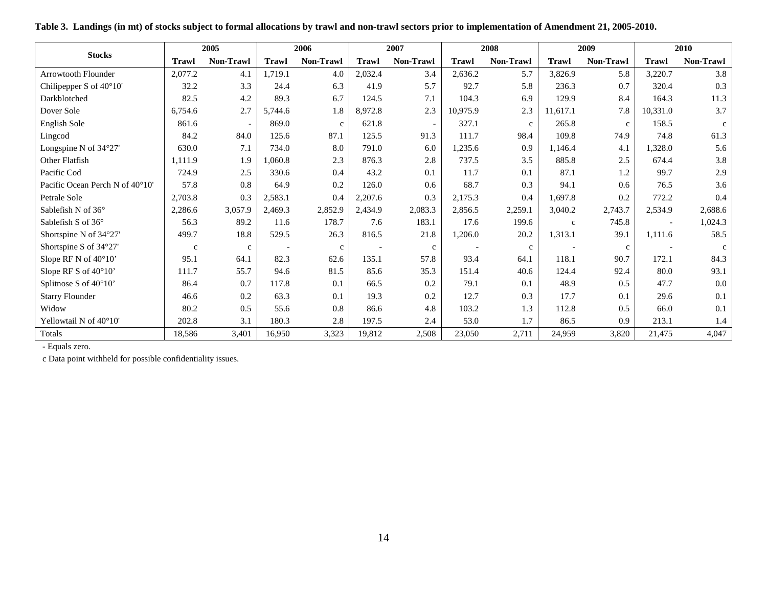<span id="page-13-0"></span>

|                                 |              | 2005        |              | 2006        |              | 2007             |              | 2008         |              | 2009        |                          | 2010         |
|---------------------------------|--------------|-------------|--------------|-------------|--------------|------------------|--------------|--------------|--------------|-------------|--------------------------|--------------|
| <b>Stocks</b>                   | <b>Trawl</b> | Non-Trawl   | <b>Trawl</b> | Non-Trawl   | <b>Trawl</b> | <b>Non-Trawl</b> | <b>Trawl</b> | Non-Trawl    | <b>Trawl</b> | Non-Trawl   | <b>Trawl</b>             | Non-Trawl    |
| <b>Arrowtooth Flounder</b>      | 2,077.2      | 4.1         | 1,719.1      | 4.0         | 2,032.4      | 3.4              | 2,636.2      | 5.7          | 3,826.9      | 5.8         | 3,220.7                  | 3.8          |
| Chilipepper S of 40°10'         | 32.2         | 3.3         | 24.4         | 6.3         | 41.9         | 5.7              | 92.7         | 5.8          | 236.3        | 0.7         | 320.4                    | 0.3          |
| Darkblotched                    | 82.5         | 4.2         | 89.3         | 6.7         | 124.5        | 7.1              | 104.3        | 6.9          | 129.9        | 8.4         | 164.3                    | 11.3         |
| Dover Sole                      | 6,754.6      | 2.7         | 5,744.6      | 1.8         | 8,972.8      | 2.3              | 10,975.9     | 2.3          | 11,617.1     | 7.8         | 10,331.0                 | 3.7          |
| English Sole                    | 861.6        |             | 869.0        | $\mathbf c$ | 621.8        |                  | 327.1        | $\mathbf{c}$ | 265.8        | $\mathbf c$ | 158.5                    | $\mathbf{c}$ |
| Lingcod                         | 84.2         | 84.0        | 125.6        | 87.1        | 125.5        | 91.3             | 111.7        | 98.4         | 109.8        | 74.9        | 74.8                     | 61.3         |
| Longspine N of 34°27'           | 630.0        | 7.1         | 734.0        | 8.0         | 791.0        | 6.0              | 1,235.6      | 0.9          | 1,146.4      | 4.1         | 1,328.0                  | 5.6          |
| Other Flatfish                  | 1,111.9      | 1.9         | 1,060.8      | 2.3         | 876.3        | 2.8              | 737.5        | 3.5          | 885.8        | 2.5         | 674.4                    | 3.8          |
| Pacific Cod                     | 724.9        | 2.5         | 330.6        | 0.4         | 43.2         | 0.1              | 11.7         | 0.1          | 87.1         | 1.2         | 99.7                     | 2.9          |
| Pacific Ocean Perch N of 40°10' | 57.8         | 0.8         | 64.9         | 0.2         | 126.0        | 0.6              | 68.7         | 0.3          | 94.1         | 0.6         | 76.5                     | 3.6          |
| Petrale Sole                    | 2,703.8      | 0.3         | 2,583.1      | 0.4         | 2,207.6      | 0.3              | 2,175.3      | 0.4          | 1.697.8      | 0.2         | 772.2                    | 0.4          |
| Sablefish N of $36^{\circ}$     | 2,286.6      | 3,057.9     | 2,469.3      | 2,852.9     | 2,434.9      | 2,083.3          | 2,856.5      | 2,259.1      | 3,040.2      | 2,743.7     | 2,534.9                  | 2,688.6      |
| Sablefish S of 36°              | 56.3         | 89.2        | 11.6         | 178.7       | 7.6          | 183.1            | 17.6         | 199.6        | $\mathbf{c}$ | 745.8       | $\overline{\phantom{a}}$ | 1,024.3      |
| Shortspine N of 34°27'          | 499.7        | 18.8        | 529.5        | 26.3        | 816.5        | 21.8             | 1,206.0      | 20.2         | 1,313.1      | 39.1        | 1,111.6                  | 58.5         |
| Shortspine S of 34°27'          | $\mathbf c$  | $\mathbf c$ |              | $\mathbf c$ |              | $\mathbf c$      |              | $\mathbf c$  |              | $\mathbf c$ |                          |              |
| Slope RF N of 40°10'            | 95.1         | 64.1        | 82.3         | 62.6        | 135.1        | 57.8             | 93.4         | 64.1         | 118.1        | 90.7        | 172.1                    | 84.3         |
| Slope RF S of 40°10'            | 111.7        | 55.7        | 94.6         | 81.5        | 85.6         | 35.3             | 151.4        | 40.6         | 124.4        | 92.4        | 80.0                     | 93.1         |
| Splitnose S of 40°10'           | 86.4         | 0.7         | 117.8        | 0.1         | 66.5         | 0.2              | 79.1         | 0.1          | 48.9         | 0.5         | 47.7                     | 0.0          |
| <b>Starry Flounder</b>          | 46.6         | 0.2         | 63.3         | 0.1         | 19.3         | 0.2              | 12.7         | 0.3          | 17.7         | 0.1         | 29.6                     | 0.1          |
| Widow                           | 80.2         | 0.5         | 55.6         | 0.8         | 86.6         | 4.8              | 103.2        | 1.3          | 112.8        | 0.5         | 66.0                     | 0.1          |
| Yellowtail N of 40°10'          | 202.8        | 3.1         | 180.3        | 2.8         | 197.5        | 2.4              | 53.0         | 1.7          | 86.5         | 0.9         | 213.1                    | 1.4          |
| Totals                          | 18,586       | 3,401       | 16,950       | 3,323       | 19,812       | 2,508            | 23,050       | 2,711        | 24,959       | 3,820       | 21,475                   | 4,047        |

**Table 3. Landings (in mt) of stocks subject to formal allocations by trawl and non-trawl sectors prior to implementation of Amendment 21, 2005-2010.**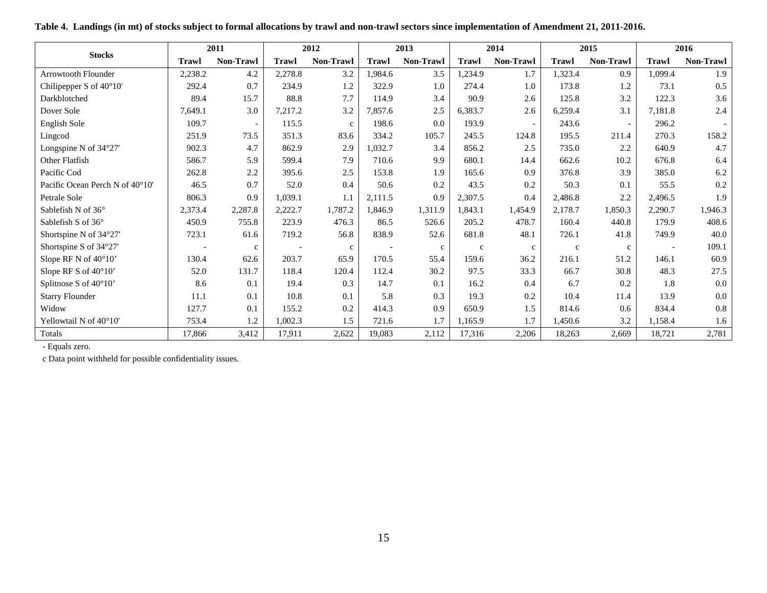<span id="page-14-0"></span>

| <b>Stocks</b>                   |              | 2011        |              | 2012         |              | 2013         |              | 2014                     |             | 2015                     |         | 2016      |
|---------------------------------|--------------|-------------|--------------|--------------|--------------|--------------|--------------|--------------------------|-------------|--------------------------|---------|-----------|
|                                 | <b>Trawl</b> | Non-Trawl   | <b>Trawl</b> | Non-Trawl    | <b>Trawl</b> | Non-Trawl    | <b>Trawl</b> | Non-Trawl                | Trawl       | Non-Trawl                | Trawl   | Non-Trawl |
| <b>Arrowtooth Flounder</b>      | 2,238.2      | 4.2         | 2,278.8      | 3.2          | 1,984.6      | 3.5          | 1,234.9      | 1.7                      | 1,323.4     | 0.9                      | 1,099.4 | 1.9       |
| Chilipepper S of 40°10'         | 292.4        | 0.7         | 234.9        | 1.2          | 322.9        | 1.0          | 274.4        | 1.0                      | 173.8       | 1.2                      | 73.1    | 0.5       |
| Darkblotched                    | 89.4         | 15.7        | 88.8         | 7.7          | 114.9        | 3.4          | 90.9         | 2.6                      | 125.8       | 3.2                      | 122.3   | 3.6       |
| Dover Sole                      | 7,649.1      | 3.0         | 7,217.2      | 3.2          | 7,857.6      | 2.5          | 6,383.7      | 2.6                      | 6,259.4     | 3.1                      | 7,181.8 | 2.4       |
| English Sole                    | 109.7        |             | 115.5        | $\mathbf{C}$ | 198.6        | 0.0          | 193.9        | $\overline{\phantom{a}}$ | 243.6       | $\overline{\phantom{a}}$ | 296.2   |           |
| Lingcod                         | 251.9        | 73.5        | 351.3        | 83.6         | 334.2        | 105.7        | 245.5        | 124.8                    | 195.5       | 211.4                    | 270.3   | 158.2     |
| Longspine N of 34°27'           | 902.3        | 4.7         | 862.9        | 2.9          | 1,032.7      | 3.4          | 856.2        | 2.5                      | 735.0       | 2.2                      | 640.9   | 4.7       |
| Other Flatfish                  | 586.7        | 5.9         | 599.4        | 7.9          | 710.6        | 9.9          | 680.1        | 14.4                     | 662.6       | 10.2                     | 676.8   | 6.4       |
| Pacific Cod                     | 262.8        | 2.2         | 395.6        | 2.5          | 153.8        | 1.9          | 165.6        | 0.9                      | 376.8       | 3.9                      | 385.0   | 6.2       |
| Pacific Ocean Perch N of 40°10' | 46.5         | 0.7         | 52.0         | 0.4          | 50.6         | 0.2          | 43.5         | 0.2                      | 50.3        | 0.1                      | 55.5    | 0.2       |
| Petrale Sole                    | 806.3        | 0.9         | 1,039.1      | 1.1          | 2,111.5      | 0.9          | 2,307.5      | 0.4                      | 2,486.8     | 2.2                      | 2,496.5 | 1.9       |
| Sablefish N of 36°              | 2,373.4      | 2,287.8     | 2,222.7      | 1,787.2      | 1,846.9      | 1,311.9      | 1,843.1      | 1,454.9                  | 2,178.7     | 1,850.3                  | 2,290.7 | 1,946.3   |
| Sablefish S of 36°              | 450.9        | 755.8       | 223.9        | 476.3        | 86.5         | 526.6        | 205.2        | 478.7                    | 160.4       | 440.8                    | 179.9   | 408.6     |
| Shortspine N of 34°27'          | 723.1        | 61.6        | 719.2        | 56.8         | 838.9        | 52.6         | 681.8        | 48.1                     | 726.1       | 41.8                     | 749.9   | 40.0      |
| Shortspine S of 34°27'          |              | $\mathbf c$ |              | $\mathbf{c}$ |              | $\mathbf{c}$ | $\mathbf c$  | $\mathbf{c}$             | $\mathbf c$ | $\mathbf c$              |         | 109.1     |
| Slope RF N of 40°10'            | 130.4        | 62.6        | 203.7        | 65.9         | 170.5        | 55.4         | 159.6        | 36.2                     | 216.1       | 51.2                     | 146.1   | 60.9      |
| Slope RF S of 40°10'            | 52.0         | 131.7       | 118.4        | 120.4        | 112.4        | 30.2         | 97.5         | 33.3                     | 66.7        | 30.8                     | 48.3    | 27.5      |
| Splitnose S of 40°10'           | 8.6          | 0.1         | 19.4         | 0.3          | 14.7         | 0.1          | 16.2         | 0.4                      | 6.7         | 0.2                      | 1.8     | 0.0       |
| <b>Starry Flounder</b>          | 11.1         | 0.1         | 10.8         | 0.1          | 5.8          | 0.3          | 19.3         | 0.2                      | 10.4        | 11.4                     | 13.9    | 0.0       |
| Widow                           | 127.7        | 0.1         | 155.2        | 0.2          | 414.3        | 0.9          | 650.9        | 1.5                      | 814.6       | 0.6                      | 834.4   | 0.8       |
| Yellowtail N of 40°10'          | 753.4        | 1.2         | 1,002.3      | 1.5          | 721.6        | 1.7          | 1,165.9      | 1.7                      | 1,450.6     | 3.2                      | 1,158.4 | 1.6       |
| Totals                          | 17,866       | 3,412       | 17,911       | 2,622        | 19,083       | 2,112        | 17,316       | 2,206                    | 18,263      | 2,669                    | 18,721  | 2,781     |

**Table 4. Landings (in mt) of stocks subject to formal allocations by trawl and non-trawl sectors since implementation of Amendment 21, 2011-2016.**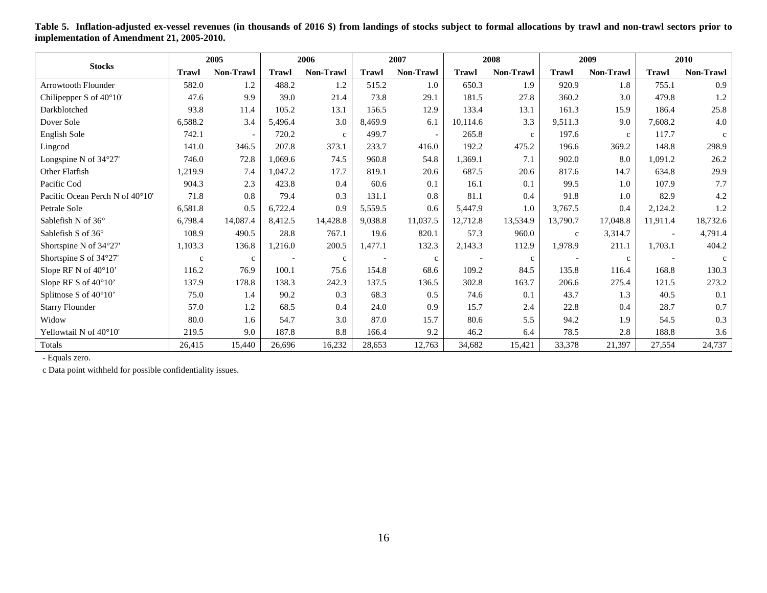<span id="page-15-0"></span>

|                                 |              | 2005         |              | 2006        |              | 2007                     |              | 2008        |              | 2009         |                          | 2010         |
|---------------------------------|--------------|--------------|--------------|-------------|--------------|--------------------------|--------------|-------------|--------------|--------------|--------------------------|--------------|
| <b>Stocks</b>                   | <b>Trawl</b> | Non-Trawl    | <b>Trawl</b> | Non-Trawl   | <b>Trawl</b> | Non-Trawl                | <b>Trawl</b> | Non-Trawl   | <b>Trawl</b> | Non-Trawl    | Trawl                    | Non-Trawl    |
| <b>Arrowtooth Flounder</b>      | 582.0        | 1.2          | 488.2        | 1.2         | 515.2        | 1.0                      | 650.3        | 1.9         | 920.9        | 1.8          | 755.1                    | 0.9          |
| Chilipepper S of 40°10'         | 47.6         | 9.9          | 39.0         | 21.4        | 73.8         | 29.1                     | 181.5        | 27.8        | 360.2        | 3.0          | 479.8                    | 1.2          |
| Darkblotched                    | 93.8         | 11.4         | 105.2        | 13.1        | 156.5        | 12.9                     | 133.4        | 13.1        | 161.3        | 15.9         | 186.4                    | 25.8         |
| Dover Sole                      | 6,588.2      | 3.4          | 5,496.4      | 3.0         | 8,469.9      | 6.1                      | 10,114.6     | 3.3         | 9,511.3      | 9.0          | 7,608.2                  | 4.0          |
| English Sole                    | 742.1        |              | 720.2        | $\mathbf c$ | 499.7        | $\overline{\phantom{a}}$ | 265.8        | $\mathbf c$ | 197.6        | $\mathbf c$  | 117.7                    | $\mathbf{C}$ |
| Lingcod                         | 141.0        | 346.5        | 207.8        | 373.1       | 233.7        | 416.0                    | 192.2        | 475.2       | 196.6        | 369.2        | 148.8                    | 298.9        |
| Longspine N of $34^{\circ}27'$  | 746.0        | 72.8         | 1,069.6      | 74.5        | 960.8        | 54.8                     | 1,369.1      | 7.1         | 902.0        | 8.0          | 1,091.2                  | 26.2         |
| Other Flatfish                  | 1,219.9      | 7.4          | 1.047.2      | 17.7        | 819.1        | 20.6                     | 687.5        | 20.6        | 817.6        | 14.7         | 634.8                    | 29.9         |
| Pacific Cod                     | 904.3        | 2.3          | 423.8        | 0.4         | 60.6         | 0.1                      | 16.1         | 0.1         | 99.5         | 1.0          | 107.9                    | 7.7          |
| Pacific Ocean Perch N of 40°10' | 71.8         | 0.8          | 79.4         | 0.3         | 131.1        | 0.8                      | 81.1         | 0.4         | 91.8         | 1.0          | 82.9                     | 4.2          |
| Petrale Sole                    | 6,581.8      | 0.5          | 6,722.4      | 0.9         | 5,559.5      | 0.6                      | 5,447.9      | 1.0         | 3,767.5      | 0.4          | 2,124.2                  | $1.2\,$      |
| Sablefish N of $36^{\circ}$     | 6,798.4      | 14,087.4     | 8,412.5      | 14,428.8    | 9,038.8      | 11,037.5                 | 12,712.8     | 13,534.9    | 13,790.7     | 17,048.8     | 11,911.4                 | 18,732.6     |
| Sablefish S of 36°              | 108.9        | 490.5        | 28.8         | 767.1       | 19.6         | 820.1                    | 57.3         | 960.0       | $\mathbf{C}$ | 3,314.7      | $\overline{\phantom{a}}$ | 4,791.4      |
| Shortspine N of 34°27'          | 1,103.3      | 136.8        | 1,216.0      | 200.5       | 1,477.1      | 132.3                    | 2,143.3      | 112.9       | 1,978.9      | 211.1        | 1,703.1                  | 404.2        |
| Shortspine S of 34°27'          | $\mathbf c$  | $\mathbf{c}$ |              | c           |              | $\mathbf{C}$             |              | $\mathbf c$ |              | $\mathbf{C}$ |                          | $\mathbf{c}$ |
| Slope RF N of 40°10'            | 116.2        | 76.9         | 100.1        | 75.6        | 154.8        | 68.6                     | 109.2        | 84.5        | 135.8        | 116.4        | 168.8                    | 130.3        |
| Slope RF S of 40°10'            | 137.9        | 178.8        | 138.3        | 242.3       | 137.5        | 136.5                    | 302.8        | 163.7       | 206.6        | 275.4        | 121.5                    | 273.2        |
| Splitnose S of 40°10'           | 75.0         | 1.4          | 90.2         | 0.3         | 68.3         | 0.5                      | 74.6         | 0.1         | 43.7         | 1.3          | 40.5                     | 0.1          |
| <b>Starry Flounder</b>          | 57.0         | 1.2          | 68.5         | 0.4         | 24.0         | 0.9                      | 15.7         | 2.4         | 22.8         | 0.4          | 28.7                     | 0.7          |
| Widow                           | 80.0         | 1.6          | 54.7         | 3.0         | 87.0         | 15.7                     | 80.6         | 5.5         | 94.2         | 1.9          | 54.5                     | 0.3          |
| Yellowtail N of 40°10'          | 219.5        | 9.0          | 187.8        | 8.8         | 166.4        | 9.2                      | 46.2         | 6.4         | 78.5         | 2.8          | 188.8                    | 3.6          |
| Totals                          | 26,415       | 15,440       | 26,696       | 16,232      | 28,653       | 12,763                   | 34,682       | 15,421      | 33,378       | 21,397       | 27,554                   | 24,737       |

**Table 5. Inflation-adjusted ex-vessel revenues (in thousands of 2016 \$) from landings of stocks subject to formal allocations by trawl and non-trawl sectors prior to implementation of Amendment 21, 2005-2010.**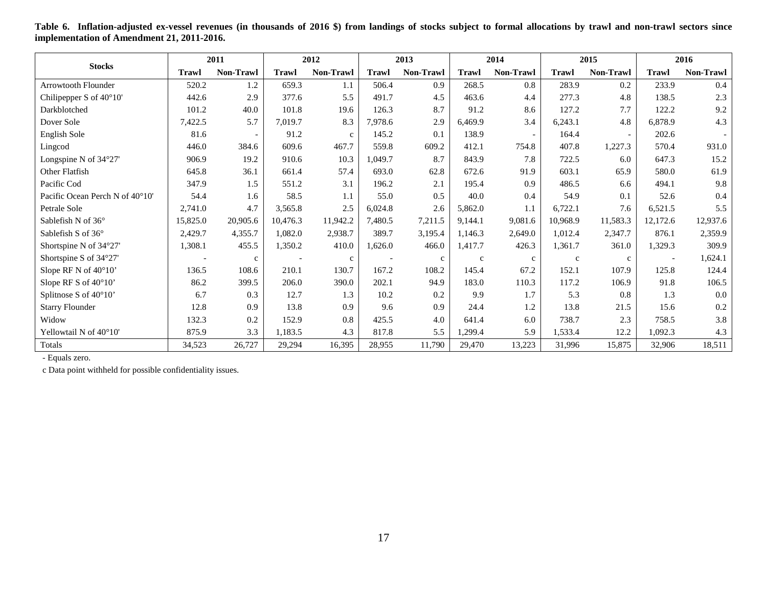<span id="page-16-0"></span>

|                                 |              | 2011                     |          | 2012             |              | 2013         |              | 2014                     |              | 2015                     |              | 2016                     |
|---------------------------------|--------------|--------------------------|----------|------------------|--------------|--------------|--------------|--------------------------|--------------|--------------------------|--------------|--------------------------|
| <b>Stocks</b>                   | <b>Trawl</b> | Non-Trawl                | Trawl    | <b>Non-Trawl</b> | <b>Trawl</b> | Non-Trawl    | <b>Trawl</b> | Non-Trawl                | <b>Trawl</b> | Non-Trawl                | <b>Trawl</b> | Non-Trawl                |
| <b>Arrowtooth Flounder</b>      | 520.2        | 1.2                      | 659.3    | 1.1              | 506.4        | 0.9          | 268.5        | 0.8                      | 283.9        | 0.2                      | 233.9        | 0.4                      |
| Chilipepper S of 40°10'         | 442.6        | 2.9                      | 377.6    | 5.5              | 491.7        | 4.5          | 463.6        | 4.4                      | 277.3        | 4.8                      | 138.5        | 2.3                      |
| Darkblotched                    | 101.2        | 40.0                     | 101.8    | 19.6             | 126.3        | 8.7          | 91.2         | 8.6                      | 127.2        | 7.7                      | 122.2        | 9.2                      |
| Dover Sole                      | 7,422.5      | 5.7                      | 7,019.7  | 8.3              | 7,978.6      | 2.9          | 6.469.9      | 3.4                      | 6,243.1      | 4.8                      | 6,878.9      | 4.3                      |
| English Sole                    | 81.6         | $\overline{\phantom{a}}$ | 91.2     | $\mathbf{c}$     | 145.2        | 0.1          | 138.9        | $\overline{\phantom{a}}$ | 164.4        | $\overline{\phantom{a}}$ | 202.6        | $\overline{\phantom{a}}$ |
| Lingcod                         | 446.0        | 384.6                    | 609.6    | 467.7            | 559.8        | 609.2        | 412.1        | 754.8                    | 407.8        | 1,227.3                  | 570.4        | 931.0                    |
| Longspine N of $34^{\circ}27'$  | 906.9        | 19.2                     | 910.6    | 10.3             | 1,049.7      | 8.7          | 843.9        | 7.8                      | 722.5        | 6.0                      | 647.3        | 15.2                     |
| Other Flatfish                  | 645.8        | 36.1                     | 661.4    | 57.4             | 693.0        | 62.8         | 672.6        | 91.9                     | 603.1        | 65.9                     | 580.0        | 61.9                     |
| Pacific Cod                     | 347.9        | 1.5                      | 551.2    | 3.1              | 196.2        | 2.1          | 195.4        | 0.9                      | 486.5        | 6.6                      | 494.1        | 9.8                      |
| Pacific Ocean Perch N of 40°10' | 54.4         | 1.6                      | 58.5     | 1.1              | 55.0         | 0.5          | 40.0         | 0.4                      | 54.9         | 0.1                      | 52.6         | 0.4                      |
| Petrale Sole                    | 2,741.0      | 4.7                      | 3,565.8  | 2.5              | 6,024.8      | 2.6          | 5,862.0      | 1.1                      | 6,722.1      | 7.6                      | 6,521.5      | 5.5                      |
| Sablefish N of $36^{\circ}$     | 15,825.0     | 20,905.6                 | 10.476.3 | 11,942.2         | 7.480.5      | 7,211.5      | 9.144.1      | 9,081.6                  | 10.968.9     | 11,583.3                 | 12,172.6     | 12,937.6                 |
| Sablefish S of 36°              | 2,429.7      | 4,355.7                  | 1,082.0  | 2,938.7          | 389.7        | 3,195.4      | 1.146.3      | 2,649.0                  | 1,012.4      | 2,347.7                  | 876.1        | 2,359.9                  |
| Shortspine N of 34°27'          | 1,308.1      | 455.5                    | 1,350.2  | 410.0            | 1,626.0      | 466.0        | 1,417.7      | 426.3                    | 1,361.7      | 361.0                    | 1,329.3      | 309.9                    |
| Shortspine S of 34°27'          |              | $\mathbf c$              |          | $\mathbf{C}$     |              | $\mathbf{C}$ | $\mathbf{C}$ | $\mathbf c$              | $\mathbf c$  | $\mathbf{c}$             |              | 1,624.1                  |
| Slope RF N of $40^{\circ}10'$   | 136.5        | 108.6                    | 210.1    | 130.7            | 167.2        | 108.2        | 145.4        | 67.2                     | 152.1        | 107.9                    | 125.8        | 124.4                    |
| Slope RF S of 40°10'            | 86.2         | 399.5                    | 206.0    | 390.0            | 202.1        | 94.9         | 183.0        | 110.3                    | 117.2        | 106.9                    | 91.8         | 106.5                    |
| Splitnose S of 40°10'           | 6.7          | 0.3                      | 12.7     | 1.3              | 10.2         | 0.2          | 9.9          | 1.7                      | 5.3          | 0.8                      | 1.3          | 0.0                      |
| <b>Starry Flounder</b>          | 12.8         | 0.9                      | 13.8     | 0.9              | 9.6          | 0.9          | 24.4         | 1.2                      | 13.8         | 21.5                     | 15.6         | 0.2                      |
| Widow                           | 132.3        | 0.2                      | 152.9    | 0.8              | 425.5        | 4.0          | 641.4        | 6.0                      | 738.7        | 2.3                      | 758.5        | 3.8                      |
| Yellowtail N of 40°10'          | 875.9        | 3.3                      | 1,183.5  | 4.3              | 817.8        | 5.5          | 1,299.4      | 5.9                      | 1,533.4      | 12.2                     | 1,092.3      | 4.3                      |
| Totals                          | 34,523       | 26,727                   | 29,294   | 16,395           | 28,955       | 11,790       | 29,470       | 13,223                   | 31,996       | 15,875                   | 32,906       | 18,511                   |

**Table 6. Inflation-adjusted ex-vessel revenues (in thousands of 2016 \$) from landings of stocks subject to formal allocations by trawl and non-trawl sectors since implementation of Amendment 21, 2011-2016.**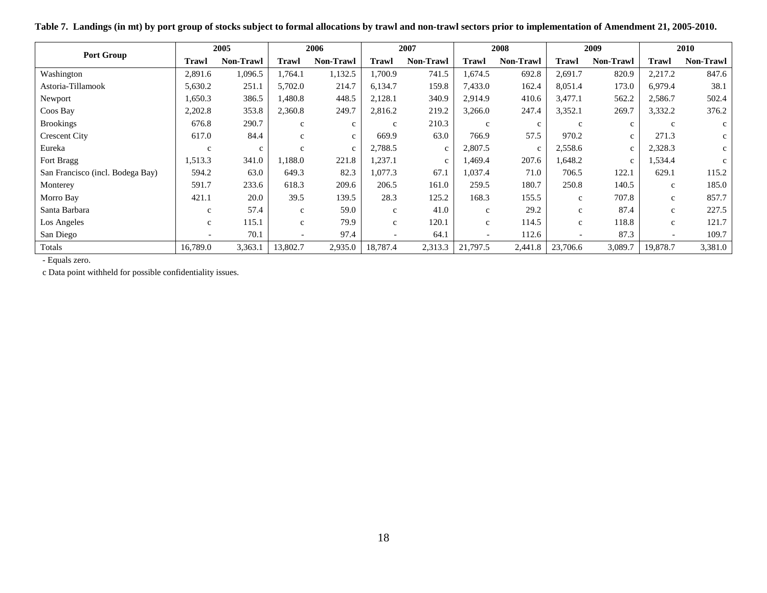<span id="page-17-0"></span>

|                                  |              | 2005             |              | 2006         |              | 2007         |              | 2008         |              | 2009         |                          | 2010         |
|----------------------------------|--------------|------------------|--------------|--------------|--------------|--------------|--------------|--------------|--------------|--------------|--------------------------|--------------|
| <b>Port Group</b>                | <b>Trawl</b> | <b>Non-Trawl</b> | Trawl        | Non-Trawl    | <b>Trawl</b> | Non-Trawl    | <b>Trawl</b> | Non-Trawl    | Trawl        | Non-Trawl    | <b>Trawl</b>             | Non-Trawl    |
| Washington                       | 2,891.6      | 1,096.5          | 1.764.1      | 1,132.5      | 1.700.9      | 741.5        | 1,674.5      | 692.8        | 2,691.7      | 820.9        | 2,217.2                  | 847.6        |
| Astoria-Tillamook                | 5,630.2      | 251.1            | 5,702.0      | 214.7        | 6,134.7      | 159.8        | 7,433.0      | 162.4        | 8,051.4      | 173.0        | 6,979.4                  | 38.1         |
| Newport                          | 1,650.3      | 386.5            | 1,480.8      | 448.5        | 2,128.1      | 340.9        | 2,914.9      | 410.6        | 3,477.1      | 562.2        | 2,586.7                  | 502.4        |
| Coos Bay                         | 2,202.8      | 353.8            | 2,360.8      | 249.7        | 2,816.2      | 219.2        | 3,266.0      | 247.4        | 3,352.1      | 269.7        | 3,332.2                  | 376.2        |
| <b>Brookings</b>                 | 676.8        | 290.7            | $\mathbf c$  | $\mathbf c$  | $\mathbf c$  | 210.3        | $\mathbf c$  | $\mathbf{C}$ | $\mathbf{c}$ | $\mathbf{C}$ | $\mathbf{c}$             | $\mathbf{c}$ |
| <b>Crescent City</b>             | 617.0        | 84.4             | $\mathbf c$  | $\mathbf{c}$ | 669.9        | 63.0         | 766.9        | 57.5         | 970.2        | $\mathbf{C}$ | 271.3                    | $\mathbf{c}$ |
| Eureka                           | $\mathbf{C}$ | $\mathbf c$      | $\mathbf{c}$ | $\mathbf{C}$ | 2,788.5      | $\mathbf{C}$ | 2,807.5      | $\mathbf{C}$ | 2,558.6      | $\mathbf{C}$ | 2,328.3                  | $\mathbf{c}$ |
| Fort Bragg                       | 1,513.3      | 341.0            | 1,188.0      | 221.8        | 1,237.1      | $\mathbf{C}$ | 1,469.4      | 207.6        | 1,648.2      | $\mathbf{C}$ | 1,534.4                  | $\mathbf c$  |
| San Francisco (incl. Bodega Bay) | 594.2        | 63.0             | 649.3        | 82.3         | 1,077.3      | 67.1         | 1,037.4      | 71.0         | 706.5        | 122.1        | 629.1                    | 115.2        |
| Monterey                         | 591.7        | 233.6            | 618.3        | 209.6        | 206.5        | 161.0        | 259.5        | 180.7        | 250.8        | 140.5        | $\mathbf{c}$             | 185.0        |
| Morro Bay                        | 421.1        | 20.0             | 39.5         | 139.5        | 28.3         | 125.2        | 168.3        | 155.5        | $\mathbf{c}$ | 707.8        | $\mathbf{c}$             | 857.7        |
| Santa Barbara                    | $\mathbf{C}$ | 57.4             | $\mathbf c$  | 59.0         | $\mathbf c$  | 41.0         | c            | 29.2         | $\mathbf{c}$ | 87.4         | $\mathbf{c}$             | 227.5        |
| Los Angeles                      | $\mathbf{C}$ | 115.1            | $\mathbf{c}$ | 79.9         | $\mathbf c$  | 120.1        | $\mathbf c$  | 114.5        | $\mathbf c$  | 118.8        | $\mathbf c$              | 121.7        |
| San Diego                        |              | 70.1             |              | 97.4         |              | 64.1         |              | 112.6        |              | 87.3         | $\overline{\phantom{a}}$ | 109.7        |
| Totals                           | 16,789.0     | 3,363.1          | 13,802.7     | 2,935.0      | 18,787.4     | 2,313.3      | 21,797.5     | 2,441.8      | 23,706.6     | 3,089.7      | 19,878.7                 | 3,381.0      |

**Table 7. Landings (in mt) by port group of stocks subject to formal allocations by trawl and non-trawl sectors prior to implementation of Amendment 21, 2005-2010.**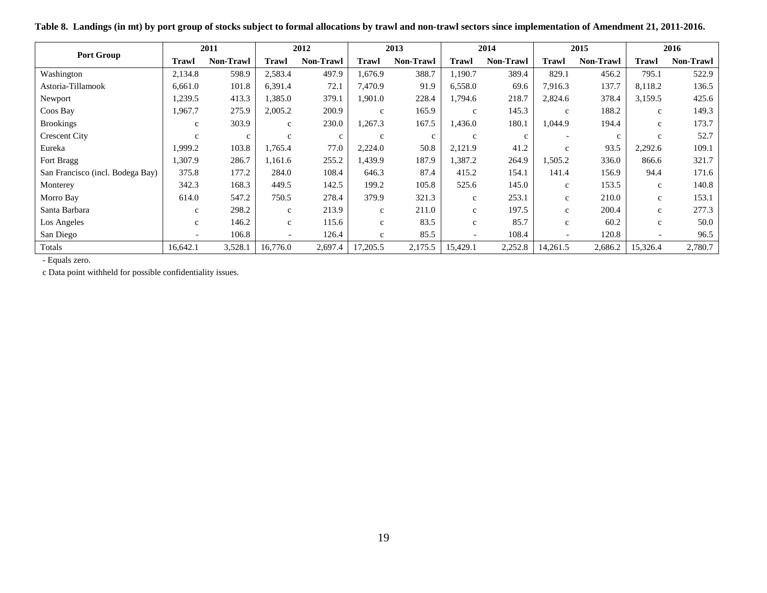<span id="page-18-0"></span>

|                                  |              | 2011             |              | 2012             |              | 2013             |                          | 2014             |                          | 2015             |                          | 2016             |
|----------------------------------|--------------|------------------|--------------|------------------|--------------|------------------|--------------------------|------------------|--------------------------|------------------|--------------------------|------------------|
| Port Group                       | Trawl        | <b>Non-Trawl</b> | Trawl        | <b>Non-Trawl</b> | Trawl        | <b>Non-Trawl</b> | Trawl                    | <b>Non-Trawl</b> | Trawl                    | <b>Non-Trawl</b> | <b>Trawl</b>             | <b>Non-Trawl</b> |
| Washington                       | 2,134.8      | 598.9            | 2,583.4      | 497.9            | 1,676.9      | 388.7            | 1,190.7                  | 389.4            | 829.1                    | 456.2            | 795.1                    | 522.9            |
| Astoria-Tillamook                | 6,661.0      | 101.8            | 6,391.4      | 72.1             | 7,470.9      | 91.9             | 6,558.0                  | 69.6             | 7,916.3                  | 137.7            | 8,118.2                  | 136.5            |
| Newport                          | 1,239.5      | 413.3            | 1,385.0      | 379.1            | 1,901.0      | 228.4            | 1,794.6                  | 218.7            | 2,824.6                  | 378.4            | 3,159.5                  | 425.6            |
| Coos Bay                         | 1,967.7      | 275.9            | 2,005.2      | 200.9            | $\mathbf{c}$ | 165.9            | $\mathbf{C}$             | 145.3            | $\mathbf{c}$             | 188.2            | $\mathbf{c}$             | 149.3            |
| <b>Brookings</b>                 | $\mathbf{C}$ | 303.9            | $\mathbf{C}$ | 230.0            | 1,267.3      | 167.5            | .436.0                   | 180.1            | 1,044.9                  | 194.4            | $\mathbf{c}$             | 173.7            |
| <b>Crescent City</b>             | $\mathbf{C}$ | $\mathbf{c}$     | $\mathbf{c}$ | $\mathbf c$      | $\mathbf{c}$ | $\mathbf{C}$     | $\mathbf{C}$             | C                |                          | $\mathbf{c}$     | $\mathbf{c}$             | 52.7             |
| Eureka                           | 1.999.2      | 103.8            | 1,765.4      | 77.0             | 2,224.0      | 50.8             | 2,121.9                  | 41.2             | $\mathbf{c}$             | 93.5             | 2,292.6                  | 109.1            |
| Fort Bragg                       | 1,307.9      | 286.7            | 1,161.6      | 255.2            | 1,439.9      | 187.9            | 1,387.2                  | 264.9            | 1,505.2                  | 336.0            | 866.6                    | 321.7            |
| San Francisco (incl. Bodega Bay) | 375.8        | 177.2            | 284.0        | 108.4            | 646.3        | 87.4             | 415.2                    | 154.1            | 141.4                    | 156.9            | 94.4                     | 171.6            |
| Monterey                         | 342.3        | 168.3            | 449.5        | 142.5            | 199.2        | 105.8            | 525.6                    | 145.0            | $\mathbf{c}$             | 153.5            | $\mathbf{c}$             | 140.8            |
| Morro Bay                        | 614.0        | 547.2            | 750.5        | 278.4            | 379.9        | 321.3            | $\mathbf{c}$             | 253.1            | $\mathbf{c}$             | 210.0            | $\mathbf{c}$             | 153.1            |
| Santa Barbara                    | $\mathbf{C}$ | 298.2            | $\mathbf{c}$ | 213.9            | $\mathbf{c}$ | 211.0            | $\mathbf{c}$             | 197.5            | $\mathbf{C}$             | 200.4            | $\mathbf{c}$             | 277.3            |
| Los Angeles                      | $\mathbf{C}$ | 146.2            | $\mathbf{c}$ | 115.6            | $\mathbf{c}$ | 83.5             | $\mathbf c$              | 85.7             | $\mathbf{c}$             | 60.2             | $\mathbf c$              | 50.0             |
| San Diego                        |              | 106.8            |              | 126.4            | $\mathbf{c}$ | 85.5             | $\overline{\phantom{0}}$ | 108.4            | $\overline{\phantom{0}}$ | 120.8            | $\overline{\phantom{a}}$ | 96.5             |
| Totals                           | 16,642.1     | 3,528.1          | 16,776.0     | 2,697.4          | 17,205.5     | 2,175.5          | 15,429.1                 | 2,252.8          | 14,261.5                 | 2,686.2          | 15,326.4                 | 2,780.7          |

**Table 8. Landings (in mt) by port group of stocks subject to formal allocations by trawl and non-trawl sectors since implementation of Amendment 21, 2011-2016.**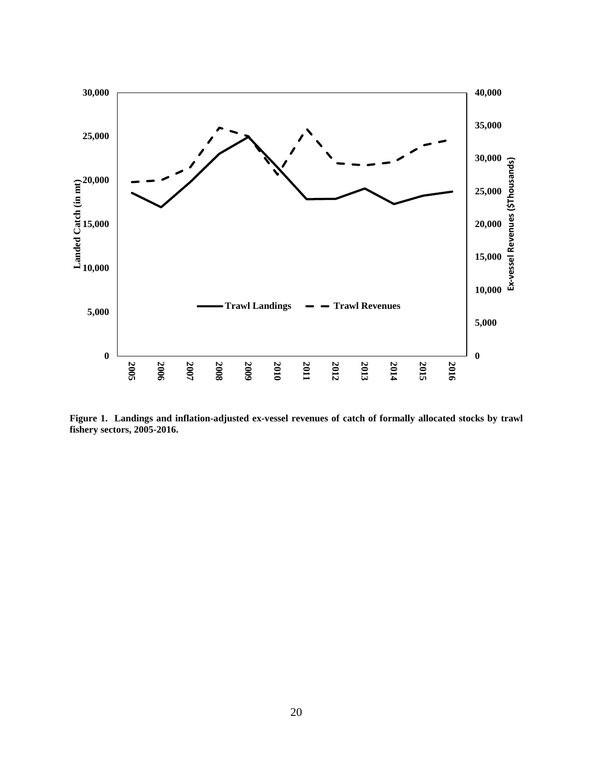

<span id="page-19-0"></span>**Figure 1. Landings and inflation-adjusted ex-vessel revenues of catch of formally allocated stocks by trawl fishery sectors, 2005-2016.**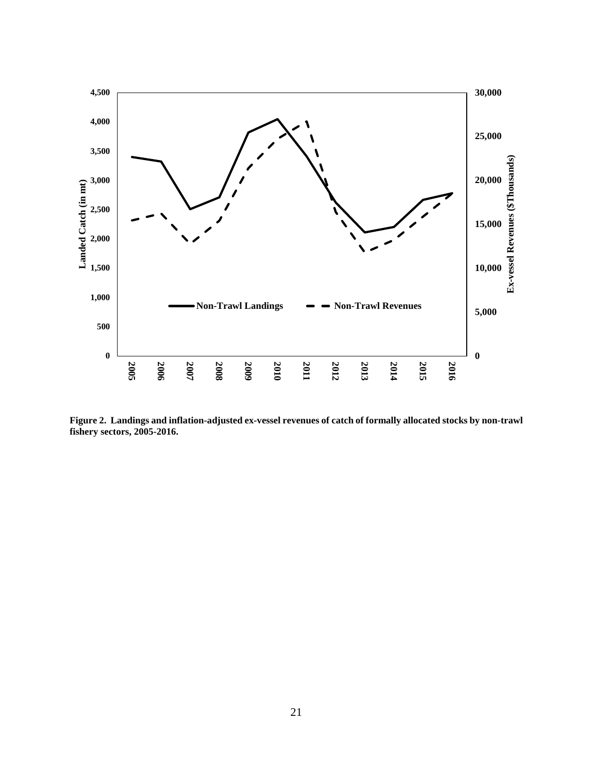

<span id="page-20-0"></span>**Figure 2. Landings and inflation-adjusted ex-vessel revenues of catch of formally allocated stocks by non-trawl fishery sectors, 2005-2016.**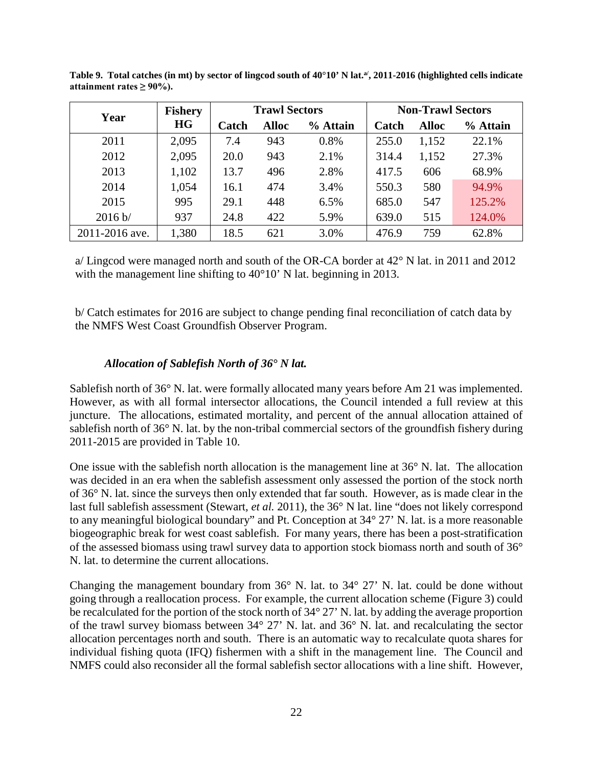| Year           | <b>Fishery</b> |       | <b>Trawl Sectors</b> |          |       | <b>Non-Trawl Sectors</b> |          |
|----------------|----------------|-------|----------------------|----------|-------|--------------------------|----------|
|                | <b>HG</b>      | Catch | <b>Alloc</b>         | % Attain | Catch | <b>Alloc</b>             | % Attain |
| 2011           | 2,095          | 7.4   | 943                  | 0.8%     | 255.0 | 1,152                    | 22.1%    |
| 2012           | 2,095          | 20.0  | 943                  | 2.1%     | 314.4 | 1,152                    | 27.3%    |
| 2013           | 1,102          | 13.7  | 496                  | 2.8%     | 417.5 | 606                      | 68.9%    |
| 2014           | 1,054          | 16.1  | 474                  | 3.4%     | 550.3 | 580                      | 94.9%    |
| 2015           | 995            | 29.1  | 448                  | 6.5%     | 685.0 | 547                      | 125.2%   |
| 2016 b/        | 937            | 24.8  | 422                  | 5.9%     | 639.0 | 515                      | 124.0%   |
| 2011-2016 ave. | 1,380          | 18.5  | 621                  | 3.0%     | 476.9 | 759                      | 62.8%    |

<span id="page-21-0"></span>Table 9. Total catches (in mt) by sector of lingcod south of 40°10' N lat.<sup>a/</sup>, 2011-2016 (highlighted cells indicate attainment rates  $\geq 90\%$ ).

a/ Lingcod were managed north and south of the OR-CA border at 42° N lat. in 2011 and 2012 with the management line shifting to 40°10' N lat. beginning in 2013.

b/ Catch estimates for 2016 are subject to change pending final reconciliation of catch data by the NMFS West Coast Groundfish Observer Program.

### *Allocation of Sablefish North of 36° N lat.*

Sablefish north of 36° N. lat. were formally allocated many years before Am 21 was implemented. However, as with all formal intersector allocations, the Council intended a full review at this juncture. The allocations, estimated mortality, and percent of the annual allocation attained of sablefish north of 36° N. lat. by the non-tribal commercial sectors of the groundfish fishery during 2011-2015 are provided in [Table 10.](#page-23-0)

One issue with the sablefish north allocation is the management line at 36° N. lat. The allocation was decided in an era when the sablefish assessment only assessed the portion of the stock north of 36° N. lat. since the surveys then only extended that far south. However, as is made clear in the last full sablefish assessment [\(Stewart](#page-32-2)*, et al.* 2011), the 36° N lat. line "does not likely correspond to any meaningful biological boundary" and Pt. Conception at 34° 27' N. lat. is a more reasonable biogeographic break for west coast sablefish. For many years, there has been a post-stratification of the assessed biomass using trawl survey data to apportion stock biomass north and south of 36° N. lat. to determine the current allocations.

Changing the management boundary from 36° N. lat. to 34° 27' N. lat. could be done without going through a reallocation process. For example, the current allocation scheme [\(Figure 3\)](#page-23-1) could be recalculated for the portion of the stock north of 34° 27' N. lat. by adding the average proportion of the trawl survey biomass between 34° 27' N. lat. and 36° N. lat. and recalculating the sector allocation percentages north and south. There is an automatic way to recalculate quota shares for individual fishing quota (IFQ) fishermen with a shift in the management line. The Council and NMFS could also reconsider all the formal sablefish sector allocations with a line shift. However,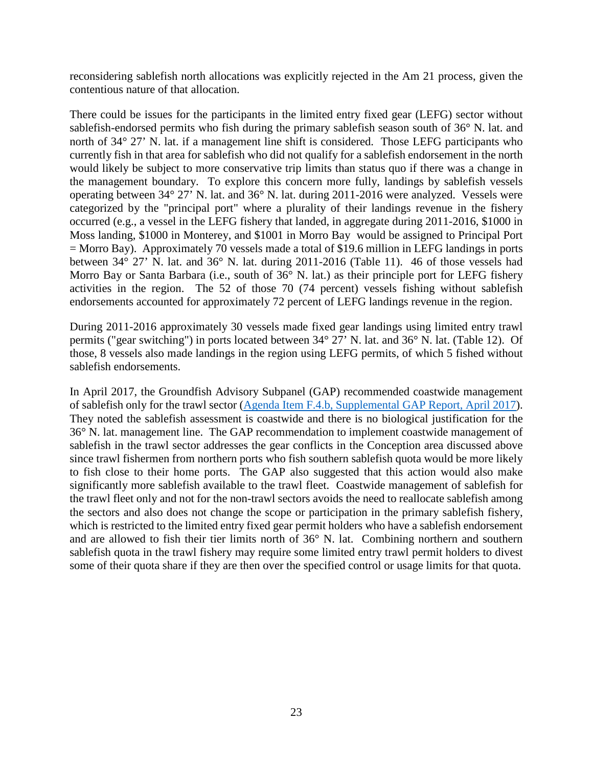reconsidering sablefish north allocations was explicitly rejected in the Am 21 process, given the contentious nature of that allocation.

There could be issues for the participants in the limited entry fixed gear (LEFG) sector without sablefish-endorsed permits who fish during the primary sablefish season south of 36° N. lat. and north of 34° 27' N. lat. if a management line shift is considered. Those LEFG participants who currently fish in that area for sablefish who did not qualify for a sablefish endorsement in the north would likely be subject to more conservative trip limits than status quo if there was a change in the management boundary. To explore this concern more fully, landings by sablefish vessels operating between 34° 27' N. lat. and 36° N. lat. during 2011-2016 were analyzed. Vessels were categorized by the "principal port" where a plurality of their landings revenue in the fishery occurred (e.g., a vessel in the LEFG fishery that landed, in aggregate during 2011-2016, \$1000 in Moss landing, \$1000 in Monterey, and \$1001 in Morro Bay would be assigned to Principal Port = Morro Bay). Approximately 70 vessels made a total of \$19.6 million in LEFG landings in ports between 34° 27' N. lat. and 36° N. lat. during 2011-2016 [\(Table 11\)](#page-24-0). 46 of those vessels had Morro Bay or Santa Barbara (i.e., south of 36° N. lat.) as their principle port for LEFG fishery activities in the region. The 52 of those 70 (74 percent) vessels fishing without sablefish endorsements accounted for approximately 72 percent of LEFG landings revenue in the region.

During 2011-2016 approximately 30 vessels made fixed gear landings using limited entry trawl permits ("gear switching") in ports located between 34° 27' N. lat. and 36° N. lat. [\(Table 12\)](#page-24-1). Of those, 8 vessels also made landings in the region using LEFG permits, of which 5 fished without sablefish endorsements.

In April 2017, the Groundfish Advisory Subpanel (GAP) recommended coastwide management of sablefish only for the trawl sector [\(Agenda Item F.4.b, Supplemental GAP Report, April 2017\)](http://www.pcouncil.org/wp-content/uploads/2017/04/F4b_Sup_GAP_Rpt_Apr2017BB.pdf). They noted the sablefish assessment is coastwide and there is no biological justification for the 36° N. lat. management line. The GAP recommendation to implement coastwide management of sablefish in the trawl sector addresses the gear conflicts in the Conception area discussed above since trawl fishermen from northern ports who fish southern sablefish quota would be more likely to fish close to their home ports. The GAP also suggested that this action would also make significantly more sablefish available to the trawl fleet. Coastwide management of sablefish for the trawl fleet only and not for the non-trawl sectors avoids the need to reallocate sablefish among the sectors and also does not change the scope or participation in the primary sablefish fishery, which is restricted to the limited entry fixed gear permit holders who have a sablefish endorsement and are allowed to fish their tier limits north of 36° N. lat. Combining northern and southern sablefish quota in the trawl fishery may require some limited entry trawl permit holders to divest some of their quota share if they are then over the specified control or usage limits for that quota.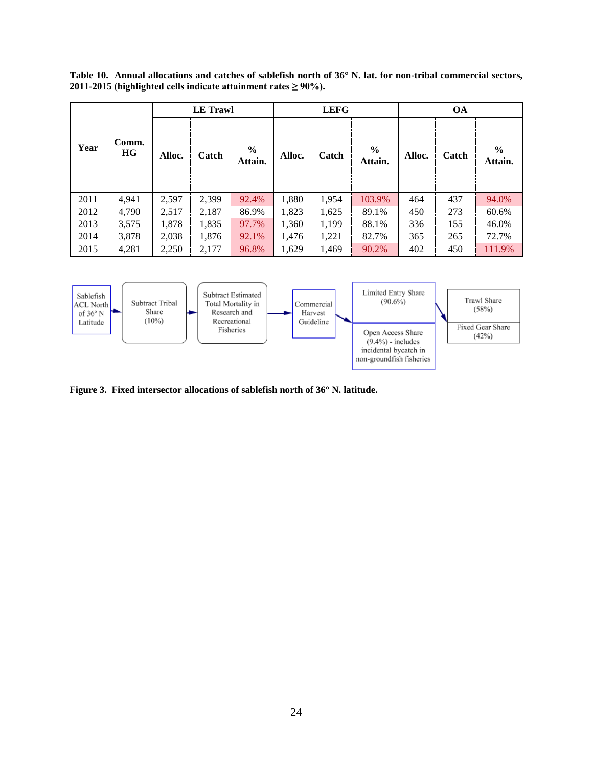<span id="page-23-0"></span>**Table 10. Annual allocations and catches of sablefish north of 36° N. lat. for non-tribal commercial sectors, 2011-2015 (highlighted cells indicate attainment rates ≥ 90%).**

|      |             |        | <b>LE</b> Trawl |                          |        | <b>LEFG</b> |                          |        | <b>OA</b> |                 |
|------|-------------|--------|-----------------|--------------------------|--------|-------------|--------------------------|--------|-----------|-----------------|
| Year | Comm.<br>HG | Alloc. | Catch           | $\frac{6}{6}$<br>Attain. | Alloc. | Catch       | $\frac{6}{6}$<br>Attain. | Alloc. | Catch     | $\%$<br>Attain. |
| 2011 | 4,941       | 2,597  | 2,399           | 92.4%                    | 1,880  | 1,954       | 103.9%                   | 464    | 437       | 94.0%           |
| 2012 | 4,790       | 2,517  | 2,187           | 86.9%                    | 1,823  | 1,625       | 89.1%                    | 450    | 273       | 60.6%           |
| 2013 | 3,575       | 1,878  | 1,835           | 97.7%                    | 1,360  | 1,199       | 88.1%                    | 336    | 155       | 46.0%           |
| 2014 | 3,878       | 2,038  | 1,876           | 92.1%                    | 1,476  | 1,221       | 82.7%                    | 365    | 265       | 72.7%           |
| 2015 | 4,281       | 2,250  | 2,177           | 96.8%                    | 1,629  | 1,469       | 90.2%                    | 402    | 450       | 111.9%          |
|      |             |        |                 |                          |        |             |                          |        |           |                 |



<span id="page-23-1"></span>**Figure 3. Fixed intersector allocations of sablefish north of 36° N. latitude.**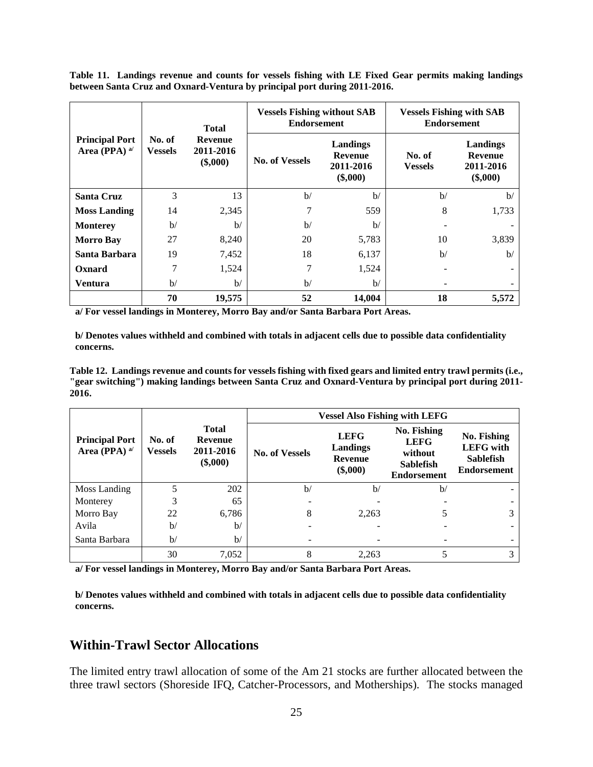<span id="page-24-0"></span>**Table 11. Landings revenue and counts for vessels fishing with LE Fixed Gear permits making landings between Santa Cruz and Oxnard-Ventura by principal port during 2011-2016.**

|                                                                   |                          | <b>Total</b>                              | <b>Vessels Fishing without SAB</b><br><b>Endorsement</b> |                                              | <b>Vessels Fishing with SAB</b><br><b>Endorsement</b> |                                                       |  |  |
|-------------------------------------------------------------------|--------------------------|-------------------------------------------|----------------------------------------------------------|----------------------------------------------|-------------------------------------------------------|-------------------------------------------------------|--|--|
| <b>Principal Port</b><br>Area (PPA) $a$ <sup><math>d</math></sup> | No. of<br><b>Vessels</b> | <b>Revenue</b><br>2011-2016<br>$(\$,000)$ | <b>No. of Vessels</b>                                    | Landings<br>Revenue<br>2011-2016<br>(\$,000) | No. of<br><b>Vessels</b>                              | Landings<br><b>Revenue</b><br>2011-2016<br>$(\$,000)$ |  |  |
| <b>Santa Cruz</b>                                                 | 3                        | 13                                        | b/                                                       | $\mathbf{b}$                                 | $\mathbf{b}$                                          | $\mathbf{b}$                                          |  |  |
| <b>Moss Landing</b>                                               | 14                       | 2,345                                     | 7                                                        | 559                                          | 8                                                     | 1,733                                                 |  |  |
| <b>Monterey</b>                                                   | b/                       | $\mathbf{b}$                              | $\mathbf{b}$                                             | b/                                           |                                                       |                                                       |  |  |
| <b>Morro Bay</b>                                                  | 27                       | 8,240                                     | 20                                                       | 5,783                                        | 10                                                    | 3,839                                                 |  |  |
| Santa Barbara                                                     | 19                       | 7,452                                     | 18                                                       | 6,137                                        | $\mathbf{b}$                                          | $\mathbf{b}$                                          |  |  |
| Oxnard                                                            | 7                        | 1,524                                     | 7                                                        | 1,524                                        |                                                       |                                                       |  |  |
| <b>Ventura</b>                                                    | $\mathbf{b}$             | $\mathbf{b}$                              | b/                                                       | $\mathbf{b}$                                 |                                                       |                                                       |  |  |
|                                                                   | 70                       | 19,575                                    | 52                                                       | 14,004                                       | 18                                                    | 5,572                                                 |  |  |

**a/ For vessel landings in Monterey, Morro Bay and/or Santa Barbara Port Areas.**

**b/ Denotes values withheld and combined with totals in adjacent cells due to possible data confidentiality concerns.**

<span id="page-24-1"></span>**Table 12. Landings revenue and counts for vessels fishing with fixed gears and limited entry trawl permits (i.e., "gear switching") making landings between Santa Cruz and Oxnard-Ventura by principal port during 2011- 2016.**

|                                          |                          |                                                           |                       | <b>Vessel Also Fishing with LEFG</b>             |                                                                                 |                                                                           |
|------------------------------------------|--------------------------|-----------------------------------------------------------|-----------------------|--------------------------------------------------|---------------------------------------------------------------------------------|---------------------------------------------------------------------------|
| <b>Principal Port</b><br>Area (PPA) $a/$ | No. of<br><b>Vessels</b> | <b>Total</b><br><b>Revenue</b><br>2011-2016<br>$(\$,000)$ | <b>No. of Vessels</b> | <b>LEFG</b><br>Landings<br>Revenue<br>$(\$,000)$ | No. Fishing<br><b>LEFG</b><br>without<br><b>Sablefish</b><br><b>Endorsement</b> | No. Fishing<br><b>LEFG</b> with<br><b>Sablefish</b><br><b>Endorsement</b> |
| Moss Landing                             | 5                        | 202                                                       | $\mathbf{b}$          | b/                                               | b/                                                                              |                                                                           |
| Monterey                                 |                          | 65                                                        |                       |                                                  |                                                                                 |                                                                           |
| Morro Bay                                | 22                       | 6,786                                                     | 8                     | 2,263                                            |                                                                                 |                                                                           |
| Avila                                    | $\mathbf{b}$             | $\mathbf{b}$                                              |                       |                                                  |                                                                                 |                                                                           |
| Santa Barbara                            | $\mathbf{b}$             | $\mathbf{b}$                                              |                       |                                                  |                                                                                 |                                                                           |
|                                          | 30                       | 7,052                                                     | 8                     | 2.263                                            |                                                                                 |                                                                           |

**a/ For vessel landings in Monterey, Morro Bay and/or Santa Barbara Port Areas.**

**b/ Denotes values withheld and combined with totals in adjacent cells due to possible data confidentiality concerns.**

# **Within-Trawl Sector Allocations**

The limited entry trawl allocation of some of the Am 21 stocks are further allocated between the three trawl sectors (Shoreside IFQ, Catcher-Processors, and Motherships). The stocks managed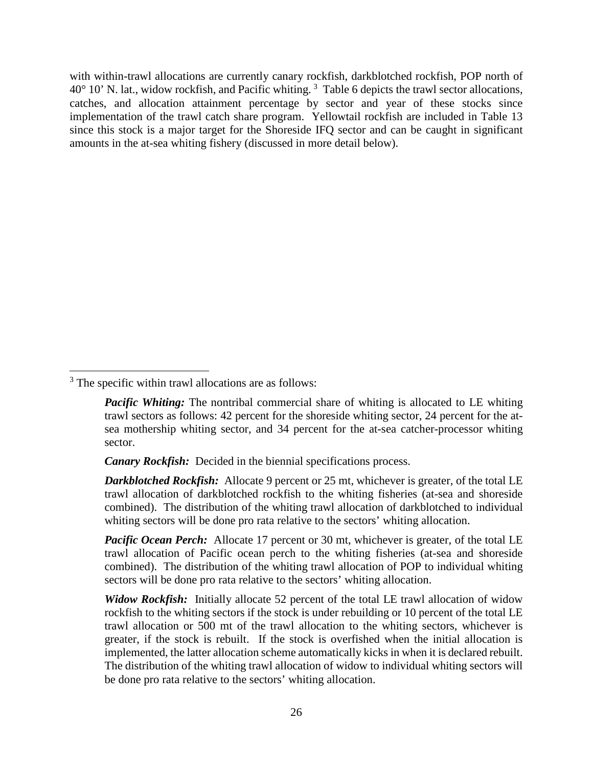with within-trawl allocations are currently canary rockfish, darkblotched rockfish, POP north of  $40^{\circ}$  10' N. lat., widow rockfish, and Pacific whiting.  $3$  [Table 6](#page-26-0) depicts the trawl sector allocations, catches, and allocation attainment percentage by sector and year of these stocks since implementation of the trawl catch share program. Yellowtail rockfish are included in [Table 13](#page-26-0) since this stock is a major target for the Shoreside IFQ sector and can be caught in significant amounts in the at-sea whiting fishery (discussed in more detail below).

<span id="page-25-0"></span><sup>&</sup>lt;sup>3</sup> The specific within trawl allocations are as follows:

*Pacific Whiting:* The nontribal commercial share of whiting is allocated to LE whiting trawl sectors as follows: 42 percent for the shoreside whiting sector, 24 percent for the atsea mothership whiting sector, and 34 percent for the at-sea catcher-processor whiting sector.

*Canary Rockfish:* Decided in the biennial specifications process.

*Darkblotched Rockfish:* Allocate 9 percent or 25 mt, whichever is greater, of the total LE trawl allocation of darkblotched rockfish to the whiting fisheries (at-sea and shoreside combined). The distribution of the whiting trawl allocation of darkblotched to individual whiting sectors will be done pro rata relative to the sectors' whiting allocation.

*Pacific Ocean Perch:* Allocate 17 percent or 30 mt, whichever is greater, of the total LE trawl allocation of Pacific ocean perch to the whiting fisheries (at-sea and shoreside combined). The distribution of the whiting trawl allocation of POP to individual whiting sectors will be done pro rata relative to the sectors' whiting allocation.

*Widow Rockfish:* Initially allocate 52 percent of the total LE trawl allocation of widow rockfish to the whiting sectors if the stock is under rebuilding or 10 percent of the total LE trawl allocation or 500 mt of the trawl allocation to the whiting sectors, whichever is greater, if the stock is rebuilt. If the stock is overfished when the initial allocation is implemented, the latter allocation scheme automatically kicks in when it is declared rebuilt. The distribution of the whiting trawl allocation of widow to individual whiting sectors will be done pro rata relative to the sectors' whiting allocation.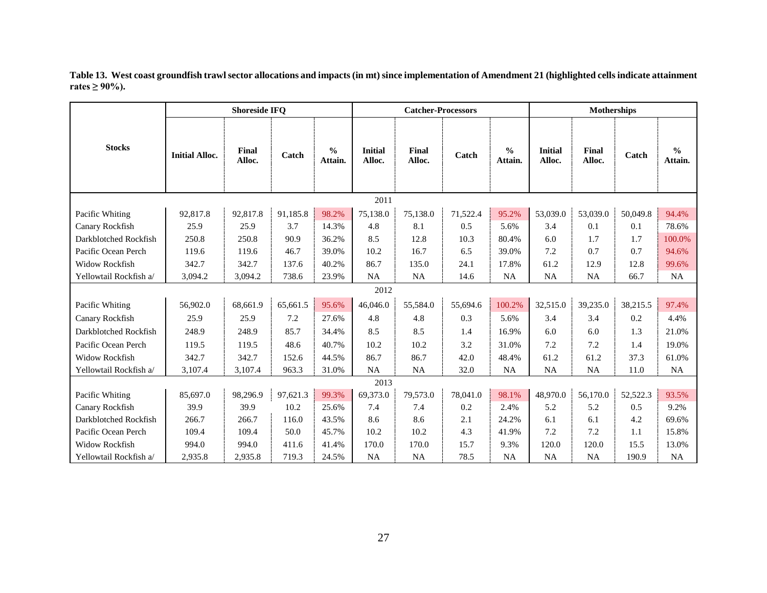<span id="page-26-0"></span>

|                        | <b>Shoreside IFQ</b>  |                 |          |                          | <b>Catcher-Processors</b> |                 |          |                          |                          | <b>Motherships</b>     |          |                          |  |
|------------------------|-----------------------|-----------------|----------|--------------------------|---------------------------|-----------------|----------|--------------------------|--------------------------|------------------------|----------|--------------------------|--|
| <b>Stocks</b>          | <b>Initial Alloc.</b> | Final<br>Alloc. | Catch    | $\frac{0}{0}$<br>Attain. | <b>Initial</b><br>Alloc.  | Final<br>Alloc. | Catch    | $\frac{0}{0}$<br>Attain. | <b>Initial</b><br>Alloc. | <b>Final</b><br>Alloc. | Catch    | $\frac{0}{0}$<br>Attain. |  |
|                        |                       |                 |          |                          | 2011                      |                 |          |                          |                          |                        |          |                          |  |
| Pacific Whiting        | 92,817.8              | 92,817.8        | 91.185.8 | 98.2%                    | 75.138.0                  | 75.138.0        | 71,522.4 | 95.2%                    | 53,039.0                 | 53,039.0               | 50,049.8 | 94.4%                    |  |
| Canary Rockfish        | 25.9                  | 25.9            | 3.7      | 14.3%                    | 4.8                       | 8.1             | 0.5      | 5.6%                     | 3.4                      | 0.1                    | 0.1      | 78.6%                    |  |
| Darkblotched Rockfish  | 250.8                 | 250.8           | 90.9     | 36.2%                    | 8.5                       | 12.8            | 10.3     | 80.4%                    | 6.0                      | 1.7                    | 1.7      | 100.0%                   |  |
| Pacific Ocean Perch    | 119.6                 | 119.6           | 46.7     | 39.0%                    | 10.2                      | 16.7            | 6.5      | 39.0%                    | 7.2                      | 0.7                    | 0.7      | 94.6%                    |  |
| <b>Widow Rockfish</b>  | 342.7                 | 342.7           | 137.6    | 40.2%                    | 86.7                      | 135.0           | 24.1     | 17.8%                    | 61.2                     | 12.9                   | 12.8     | 99.6%                    |  |
| Yellowtail Rockfish a/ | 3,094.2               | 3,094.2         | 738.6    | 23.9%                    | <b>NA</b>                 | <b>NA</b>       | 14.6     | <b>NA</b>                | <b>NA</b>                | <b>NA</b>              | 66.7     | <b>NA</b>                |  |
|                        |                       |                 |          |                          | 2012                      |                 |          |                          |                          |                        |          |                          |  |
| Pacific Whiting        | 56,902.0              | 68,661.9        | 65,661.5 | 95.6%                    | 46,046.0                  | 55,584.0        | 55,694.6 | 100.2%                   | 32,515.0                 | 39,235.0               | 38,215.5 | 97.4%                    |  |
| Canary Rockfish        | 25.9                  | 25.9            | 7.2      | 27.6%                    | 4.8                       | 4.8             | 0.3      | 5.6%                     | 3.4                      | 3.4                    | 0.2      | 4.4%                     |  |
| Darkblotched Rockfish  | 248.9                 | 248.9           | 85.7     | 34.4%                    | 8.5                       | 8.5             | 1.4      | 16.9%                    | 6.0                      | 6.0                    | 1.3      | 21.0%                    |  |
| Pacific Ocean Perch    | 119.5                 | 119.5           | 48.6     | 40.7%                    | 10.2                      | 10.2            | 3.2      | 31.0%                    | 7.2                      | 7.2                    | 1.4      | 19.0%                    |  |
| <b>Widow Rockfish</b>  | 342.7                 | 342.7           | 152.6    | 44.5%                    | 86.7                      | 86.7            | 42.0     | 48.4%                    | 61.2                     | 61.2                   | 37.3     | 61.0%                    |  |
| Yellowtail Rockfish a/ | 3,107.4               | 3,107.4         | 963.3    | 31.0%                    | NA                        | NA              | 32.0     | NA                       | <b>NA</b>                | NA                     | 11.0     | NA                       |  |
|                        |                       |                 |          |                          | 2013                      |                 |          |                          |                          |                        |          |                          |  |
| Pacific Whiting        | 85,697.0              | 98,296.9        | 97,621.3 | 99.3%                    | 69,373.0                  | 79,573.0        | 78,041.0 | 98.1%                    | 48,970.0                 | 56,170.0               | 52,522.3 | 93.5%                    |  |
| Canary Rockfish        | 39.9                  | 39.9            | 10.2     | 25.6%                    | 7.4                       | 7.4             | 0.2      | 2.4%                     | 5.2                      | 5.2                    | 0.5      | 9.2%                     |  |
| Darkblotched Rockfish  | 266.7                 | 266.7           | 116.0    | 43.5%                    | 8.6                       | 8.6             | 2.1      | 24.2%                    | 6.1                      | 6.1                    | 4.2      | 69.6%                    |  |
| Pacific Ocean Perch    | 109.4                 | 109.4           | 50.0     | 45.7%                    | 10.2                      | 10.2            | 4.3      | 41.9%                    | 7.2                      | 7.2                    | 1.1      | 15.8%                    |  |
| Widow Rockfish         | 994.0                 | 994.0           | 411.6    | 41.4%                    | 170.0                     | 170.0           | 15.7     | 9.3%                     | 120.0                    | 120.0                  | 15.5     | 13.0%                    |  |
| Yellowtail Rockfish a/ | 2,935.8               | 2,935.8         | 719.3    | 24.5%                    | <b>NA</b>                 | <b>NA</b>       | 78.5     | <b>NA</b>                | <b>NA</b>                | <b>NA</b>              | 190.9    | <b>NA</b>                |  |

**Table 13. West coast groundfish trawl sector allocations and impacts (in mt) since implementation of Amendment 21 (highlighted cells indicate attainment rates** ≥ 90%).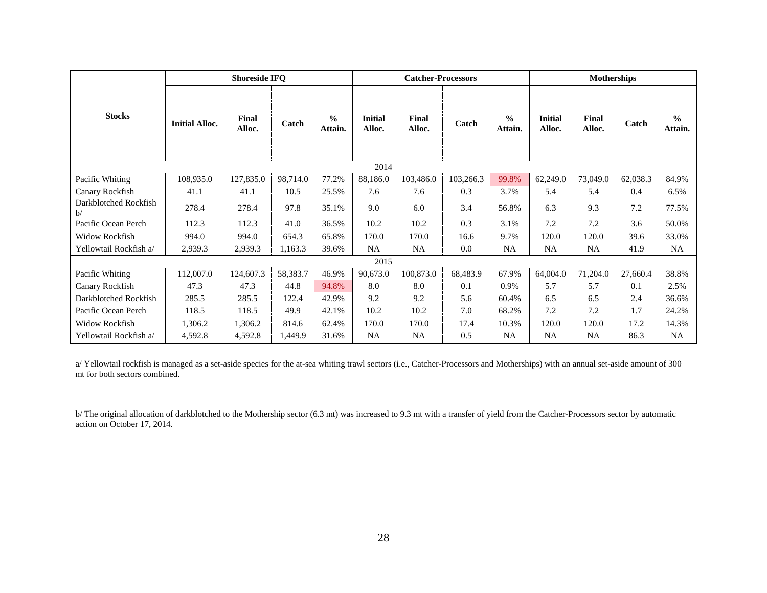|                             | <b>Shoreside IFQ</b>  |                 |          |                          | <b>Catcher-Processors</b> |                 |           |                          |                          | <b>Motherships</b> |          |                          |  |
|-----------------------------|-----------------------|-----------------|----------|--------------------------|---------------------------|-----------------|-----------|--------------------------|--------------------------|--------------------|----------|--------------------------|--|
| <b>Stocks</b>               | <b>Initial Alloc.</b> | Final<br>Alloc. | Catch    | $\frac{0}{0}$<br>Attain. | <b>Initial</b><br>Alloc.  | Final<br>Alloc. | Catch     | $\frac{0}{0}$<br>Attain. | <b>Initial</b><br>Alloc. | Final<br>Alloc.    | Catch    | $\frac{0}{0}$<br>Attain. |  |
|                             |                       |                 |          |                          | 2014                      |                 |           |                          |                          |                    |          |                          |  |
| Pacific Whiting             | 108,935.0             | 127,835.0       | 98,714.0 | 77.2%                    | 88,186.0                  | 103,486.0       | 103,266.3 | 99.8%                    | 62,249.0                 | 73,049.0           | 62,038.3 | 84.9%                    |  |
| Canary Rockfish             | 41.1                  | 41.1            | 10.5     | 25.5%                    | 7.6                       | 7.6             | 0.3       | 3.7%                     | 5.4                      | 5.4                | 0.4      | 6.5%                     |  |
| Darkblotched Rockfish<br>b/ | 278.4                 | 278.4           | 97.8     | 35.1%                    | 9.0                       | 6.0             | 3.4       | 56.8%                    | 6.3                      | 9.3                | 7.2      | 77.5%                    |  |
| Pacific Ocean Perch         | 112.3                 | 112.3           | 41.0     | 36.5%                    | 10.2                      | 10.2            | 0.3       | 3.1%                     | 7.2                      | 7.2                | 3.6      | 50.0%                    |  |
| Widow Rockfish              | 994.0                 | 994.0           | 654.3    | 65.8%                    | 170.0                     | 170.0           | 16.6      | 9.7%                     | 120.0                    | 120.0              | 39.6     | 33.0%                    |  |
| Yellowtail Rockfish a/      | 2,939.3               | 2,939.3         | 1,163.3  | 39.6%                    | NA                        | NA              | 0.0       | NA                       | NA                       | NA                 | 41.9     | <b>NA</b>                |  |
|                             |                       |                 |          |                          | 2015                      |                 |           |                          |                          |                    |          |                          |  |
| Pacific Whiting             | 112,007.0             | 124,607.3       | 58,383.7 | 46.9%                    | 90,673.0                  | 100,873.0       | 68,483.9  | 67.9%                    | 64,004.0                 | 71,204.0           | 27,660.4 | 38.8%                    |  |
| Canary Rockfish             | 47.3                  | 47.3            | 44.8     | 94.8%                    | 8.0                       | 8.0             | 0.1       | 0.9%                     | 5.7                      | 5.7                | 0.1      | 2.5%                     |  |
| Darkblotched Rockfish       | 285.5                 | 285.5           | 122.4    | 42.9%                    | 9.2                       | 9.2             | 5.6       | 60.4%                    | 6.5                      | 6.5                | 2.4      | 36.6%                    |  |
| Pacific Ocean Perch         | 118.5                 | 118.5           | 49.9     | 42.1%                    | 10.2                      | 10.2            | 7.0       | 68.2%                    | 7.2                      | 7.2                | 1.7      | 24.2%                    |  |
| Widow Rockfish              | 1,306.2               | 1,306.2         | 814.6    | 62.4%                    | 170.0                     | 170.0           | 17.4      | 10.3%                    | 120.0                    | 120.0              | 17.2     | 14.3%                    |  |
| Yellowtail Rockfish a/      | 4,592.8               | 4,592.8         | 1,449.9  | 31.6%                    | NA                        | <b>NA</b>       | 0.5       | NA                       | NA.                      | NA                 | 86.3     | NA                       |  |

a/ Yellowtail rockfish is managed as a set-aside species for the at-sea whiting trawl sectors (i.e., Catcher-Processors and Motherships) with an annual set-aside amount of 300 mt for both sectors combined.

b/ The original allocation of darkblotched to the Mothership sector (6.3 mt) was increased to 9.3 mt with a transfer of yield from the Catcher-Processors sector by automatic action on October 17, 2014.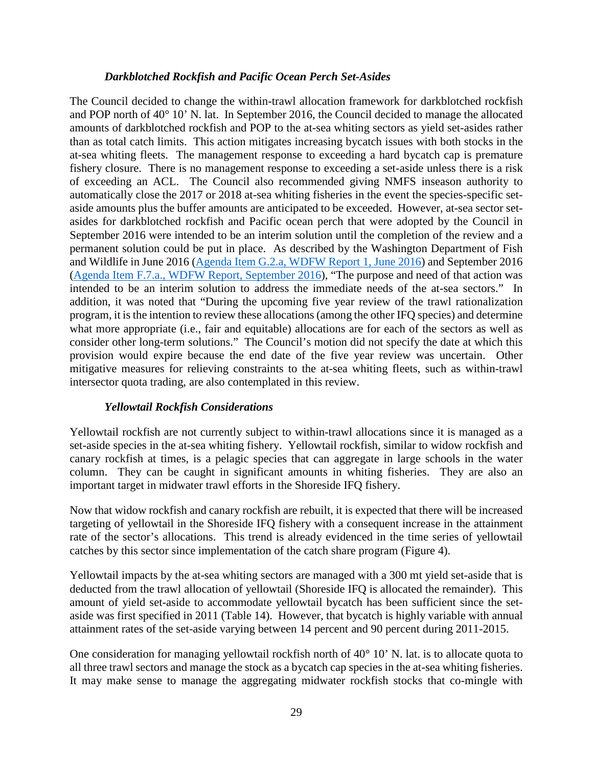#### *Darkblotched Rockfish and Pacific Ocean Perch Set-Asides*

The Council decided to change the within-trawl allocation framework for darkblotched rockfish and POP north of 40° 10' N. lat. In September 2016, the Council decided to manage the allocated amounts of darkblotched rockfish and POP to the at-sea whiting sectors as yield set-asides rather than as total catch limits. This action mitigates increasing bycatch issues with both stocks in the at-sea whiting fleets. The management response to exceeding a hard bycatch cap is premature fishery closure. There is no management response to exceeding a set-aside unless there is a risk of exceeding an ACL. The Council also recommended giving NMFS inseason authority to automatically close the 2017 or 2018 at-sea whiting fisheries in the event the species-specific setaside amounts plus the buffer amounts are anticipated to be exceeded. However, at-sea sector setasides for darkblotched rockfish and Pacific ocean perch that were adopted by the Council in September 2016 were intended to be an interim solution until the completion of the review and a permanent solution could be put in place. As described by the Washington Department of Fish and Wildlife in June 2016 [\(Agenda Item G.2.a, WDFW Report 1, June 2016\)](http://www.pcouncil.org/wp-content/uploads/2016/06/G2a_WDFW_Rpt1_AM21_JUN2016BB.pdf) and September 2016 [\(Agenda Item F.7.a., WDFW Report, September 2016\)](http://www.pcouncil.org/wp-content/uploads/2016/08/F7a_WDFW_Report_SEPT2016BB.pdf), "The purpose and need of that action was intended to be an interim solution to address the immediate needs of the at-sea sectors." In addition, it was noted that "During the upcoming five year review of the trawl rationalization program, it is the intention to review these allocations (among the other IFQ species) and determine what more appropriate (i.e., fair and equitable) allocations are for each of the sectors as well as consider other long-term solutions." The Council's motion did not specify the date at which this provision would expire because the end date of the five year review was uncertain. Other mitigative measures for relieving constraints to the at-sea whiting fleets, such as within-trawl intersector quota trading, are also contemplated in this review.

#### *Yellowtail Rockfish Considerations*

Yellowtail rockfish are not currently subject to within-trawl allocations since it is managed as a set-aside species in the at-sea whiting fishery. Yellowtail rockfish, similar to widow rockfish and canary rockfish at times, is a pelagic species that can aggregate in large schools in the water column. They can be caught in significant amounts in whiting fisheries. They are also an important target in midwater trawl efforts in the Shoreside IFQ fishery.

Now that widow rockfish and canary rockfish are rebuilt, it is expected that there will be increased targeting of yellowtail in the Shoreside IFQ fishery with a consequent increase in the attainment rate of the sector's allocations. This trend is already evidenced in the time series of yellowtail catches by this sector since implementation of the catch share program [\(Figure 4\)](#page-29-0).

Yellowtail impacts by the at-sea whiting sectors are managed with a 300 mt yield set-aside that is deducted from the trawl allocation of yellowtail (Shoreside IFQ is allocated the remainder). This amount of yield set-aside to accommodate yellowtail bycatch has been sufficient since the setaside was first specified in 2011 [\(Table 14\)](#page-29-1). However, that bycatch is highly variable with annual attainment rates of the set-aside varying between 14 percent and 90 percent during 2011-2015.

One consideration for managing yellowtail rockfish north of 40° 10' N. lat. is to allocate quota to all three trawl sectors and manage the stock as a bycatch cap species in the at-sea whiting fisheries. It may make sense to manage the aggregating midwater rockfish stocks that co-mingle with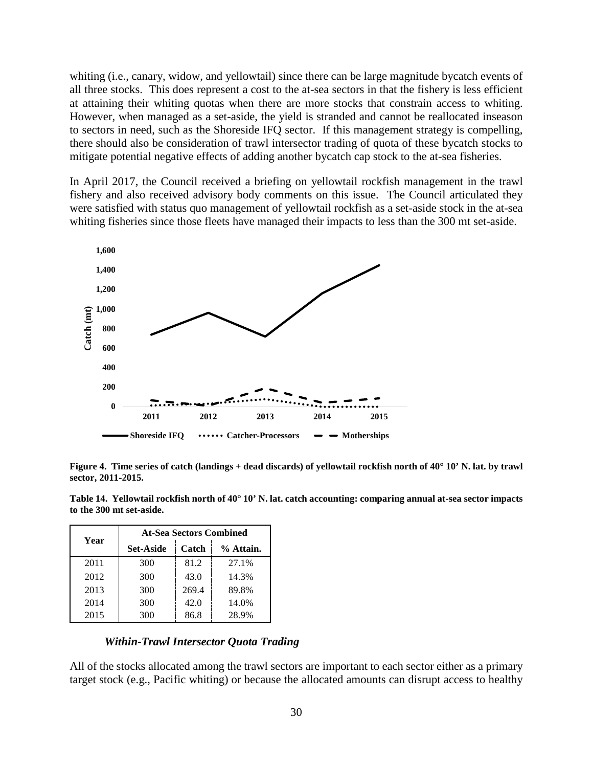whiting (i.e., canary, widow, and yellowtail) since there can be large magnitude bycatch events of all three stocks. This does represent a cost to the at-sea sectors in that the fishery is less efficient at attaining their whiting quotas when there are more stocks that constrain access to whiting. However, when managed as a set-aside, the yield is stranded and cannot be reallocated inseason to sectors in need, such as the Shoreside IFQ sector. If this management strategy is compelling, there should also be consideration of trawl intersector trading of quota of these bycatch stocks to mitigate potential negative effects of adding another bycatch cap stock to the at-sea fisheries.

In April 2017, the Council received a briefing on yellowtail rockfish management in the trawl fishery and also received advisory body comments on this issue. The Council articulated they were satisfied with status quo management of yellowtail rockfish as a set-aside stock in the at-sea whiting fisheries since those fleets have managed their impacts to less than the 300 mt set-aside.



<span id="page-29-0"></span>**Figure 4. Time series of catch (landings + dead discards) of yellowtail rockfish north of 40° 10' N. lat. by trawl sector, 2011-2015.**

<span id="page-29-1"></span>**Table 14. Yellowtail rockfish north of 40° 10' N. lat. catch accounting: comparing annual at-sea sector impacts to the 300 mt set-aside.**

|      | <b>At-Sea Sectors Combined</b> |       |           |  |  |  |  |  |
|------|--------------------------------|-------|-----------|--|--|--|--|--|
| Year | <b>Set-Aside</b>               | Catch | % Attain. |  |  |  |  |  |
| 2011 | 300                            | 81.2  | 27.1%     |  |  |  |  |  |
| 2012 | 300                            | 43.0  | 14.3%     |  |  |  |  |  |
| 2013 | 300                            | 269.4 | 89.8%     |  |  |  |  |  |
| 2014 | 300                            | 42.0  | 14.0%     |  |  |  |  |  |
| 2015 | 300                            | 86.8  | 28.9%     |  |  |  |  |  |

#### *Within-Trawl Intersector Quota Trading*

All of the stocks allocated among the trawl sectors are important to each sector either as a primary target stock (e.g., Pacific whiting) or because the allocated amounts can disrupt access to healthy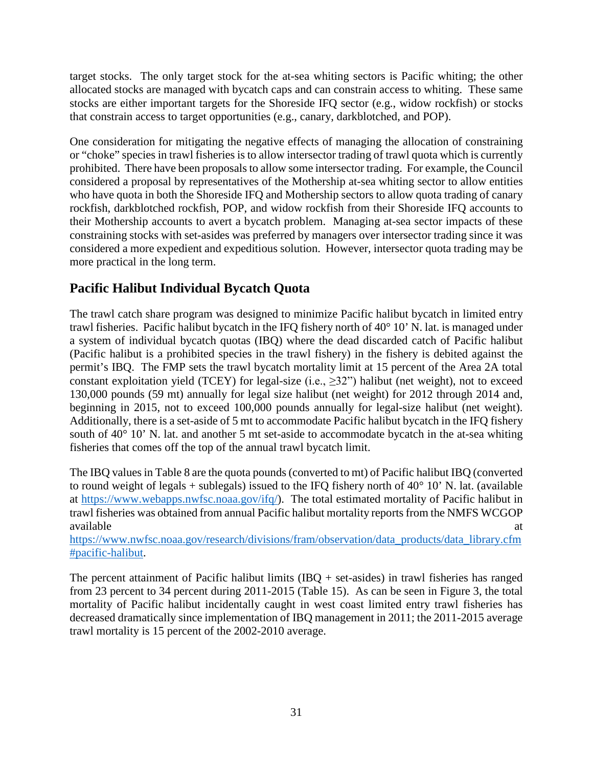target stocks. The only target stock for the at-sea whiting sectors is Pacific whiting; the other allocated stocks are managed with bycatch caps and can constrain access to whiting. These same stocks are either important targets for the Shoreside IFQ sector (e.g., widow rockfish) or stocks that constrain access to target opportunities (e.g., canary, darkblotched, and POP).

One consideration for mitigating the negative effects of managing the allocation of constraining or "choke" species in trawl fisheries is to allow intersector trading of trawl quota which is currently prohibited. There have been proposals to allow some intersector trading. For example, the Council considered a proposal by representatives of the Mothership at-sea whiting sector to allow entities who have quota in both the Shoreside IFQ and Mothership sectors to allow quota trading of canary rockfish, darkblotched rockfish, POP, and widow rockfish from their Shoreside IFQ accounts to their Mothership accounts to avert a bycatch problem. Managing at-sea sector impacts of these constraining stocks with set-asides was preferred by managers over intersector trading since it was considered a more expedient and expeditious solution. However, intersector quota trading may be more practical in the long term.

# **Pacific Halibut Individual Bycatch Quota**

The trawl catch share program was designed to minimize Pacific halibut bycatch in limited entry trawl fisheries. Pacific halibut bycatch in the IFQ fishery north of 40° 10' N. lat. is managed under a system of individual bycatch quotas (IBQ) where the dead discarded catch of Pacific halibut (Pacific halibut is a prohibited species in the trawl fishery) in the fishery is debited against the permit's IBQ. The FMP sets the trawl bycatch mortality limit at 15 percent of the Area 2A total constant exploitation yield (TCEY) for legal-size (i.e.,  $\geq$ 32") halibut (net weight), not to exceed 130,000 pounds (59 mt) annually for legal size halibut (net weight) for 2012 through 2014 and, beginning in 2015, not to exceed 100,000 pounds annually for legal-size halibut (net weight). Additionally, there is a set-aside of 5 mt to accommodate Pacific halibut bycatch in the IFQ fishery south of 40° 10' N. lat. and another 5 mt set-aside to accommodate bycatch in the at-sea whiting fisheries that comes off the top of the annual trawl bycatch limit.

The IBQ values i[n Table 8](#page-31-0) are the quota pounds (converted to mt) of Pacific halibut IBQ (converted to round weight of legals + sublegals) issued to the IFQ fishery north of  $40^{\circ}$  10' N. lat. (available at [https://www.webapps.nwfsc.noaa.gov/ifq/\)](https://www.webapps.nwfsc.noaa.gov/ifq/). The total estimated mortality of Pacific halibut in trawl fisheries was obtained from annual Pacific halibut mortality reports from the NMFS WCGOP available at a state of  $\alpha$  at a state of  $\alpha$  at a state of  $\alpha$  at a state of  $\alpha$  at a state of  $\alpha$  at a state of  $\alpha$  at a state of  $\alpha$  at a state of  $\alpha$  at a state of  $\alpha$  at a state of  $\alpha$  at a state of  $\alpha$  at

[https://www.nwfsc.noaa.gov/research/divisions/fram/observation/data\\_products/data\\_library.cfm](https://www.nwfsc.noaa.gov/research/divisions/fram/observation/data_products/data_library.cfm%23pacific-halibut) [#pacific-halibut.](https://www.nwfsc.noaa.gov/research/divisions/fram/observation/data_products/data_library.cfm%23pacific-halibut)

The percent attainment of Pacific halibut limits  $(IBQ + set$ -asides) in trawl fisheries has ranged from 23 percent to 34 percent during 2011-2015 [\(Table 15\)](#page-31-0). As can be seen in [Figure 3,](#page-31-1) the total mortality of Pacific halibut incidentally caught in west coast limited entry trawl fisheries has decreased dramatically since implementation of IBQ management in 2011; the 2011-2015 average trawl mortality is 15 percent of the 2002-2010 average.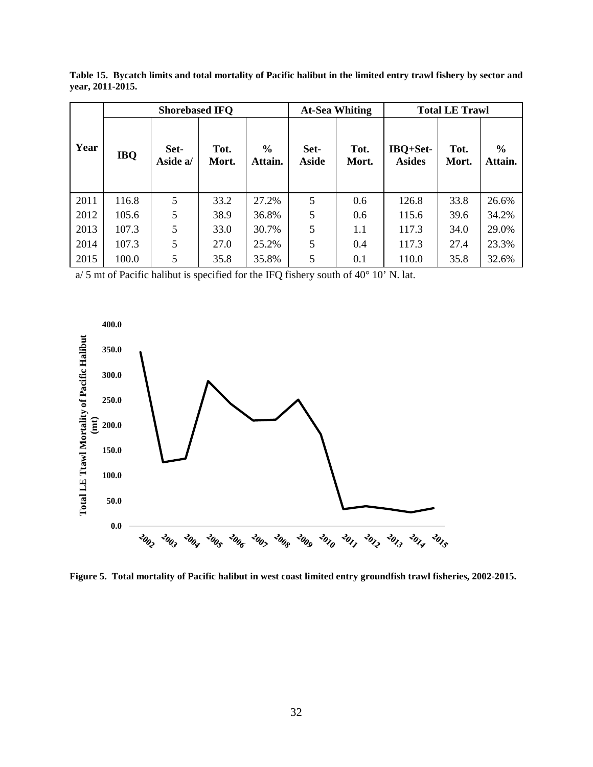|      |            | <b>Shorebased IFQ</b> |               |                          |                      | <b>At-Sea Whiting</b> |                           | <b>Total LE Trawl</b> |                          |  |
|------|------------|-----------------------|---------------|--------------------------|----------------------|-----------------------|---------------------------|-----------------------|--------------------------|--|
| Year | <b>IBQ</b> | Set-<br>Aside a/      | Tot.<br>Mort. | $\frac{6}{6}$<br>Attain. | Set-<br><b>Aside</b> | Tot.<br>Mort.         | IBQ+Set-<br><b>Asides</b> | Tot.<br>Mort.         | $\frac{6}{6}$<br>Attain. |  |
| 2011 | 116.8      | 5                     | 33.2          | 27.2%                    | 5                    | 0.6                   | 126.8                     | 33.8                  | 26.6%                    |  |
| 2012 | 105.6      | 5                     | 38.9          | 36.8%                    | 5                    | 0.6                   | 115.6                     | 39.6                  | 34.2%                    |  |
| 2013 | 107.3      | 5                     | 33.0          | 30.7%                    | 5                    | 1.1                   | 117.3                     | 34.0                  | 29.0%                    |  |
| 2014 | 107.3      | 5                     | 27.0          | 25.2%                    | 5                    | 0.4                   | 117.3                     | 27.4                  | 23.3%                    |  |
| 2015 | 100.0      | 5                     | 35.8          | 35.8%                    | 5                    | 0.1                   | 110.0                     | 35.8                  | 32.6%                    |  |

<span id="page-31-0"></span>**Table 15. Bycatch limits and total mortality of Pacific halibut in the limited entry trawl fishery by sector and year, 2011-2015.**

a/ 5 mt of Pacific halibut is specified for the IFQ fishery south of 40° 10' N. lat.



<span id="page-31-1"></span>**Figure 5. Total mortality of Pacific halibut in west coast limited entry groundfish trawl fisheries, 2002-2015.**